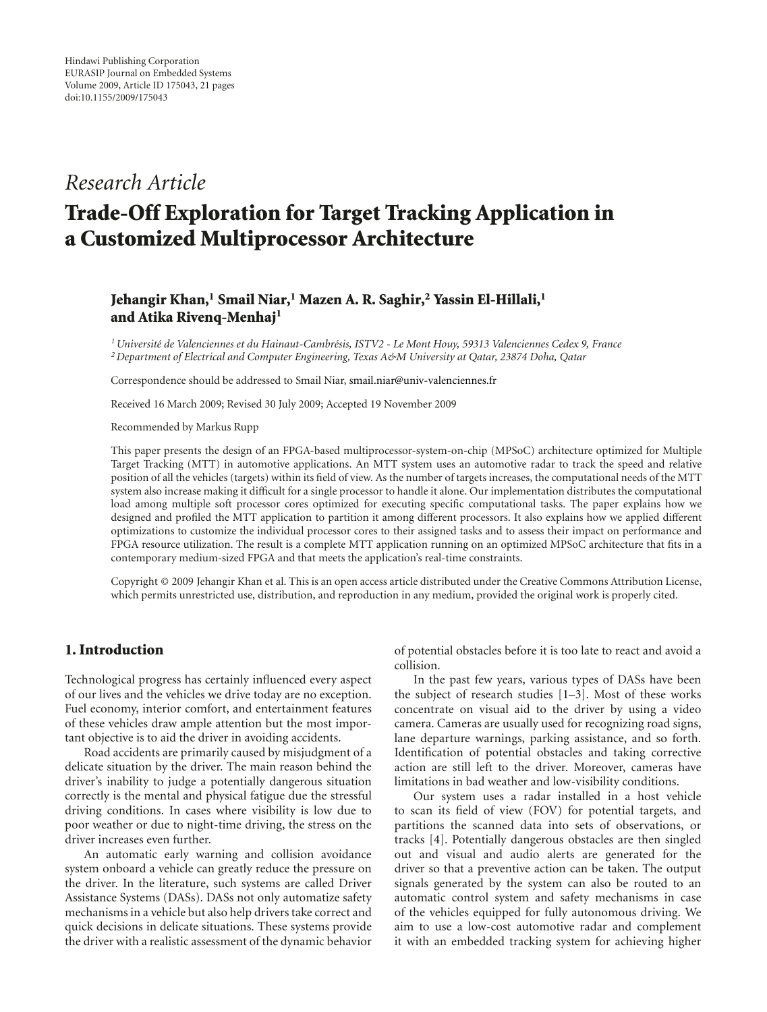## *Research Article*

# **Trade-Off Exploration for Target Tracking Application in a Customized Multiprocessor Architecture**

## **Jehangir Khan,1 Smail Niar,1 Mazen A. R. Saghir,2 Yassin El-Hillali,1 and Atika Rivenq-Menhaj1**

*1Universit´e de Valenciennes et du Hainaut-Cambr´esis, ISTV2 - Le Mont Houy, 59313 Valenciennes Cedex 9, France 2Department of Electrical and Computer Engineering, Texas A&M University at Qatar, 23874 Doha, Qatar*

Correspondence should be addressed to Smail Niar, smail.niar@univ-valenciennes.fr

Received 16 March 2009; Revised 30 July 2009; Accepted 19 November 2009

Recommended by Markus Rupp

This paper presents the design of an FPGA-based multiprocessor-system-on-chip (MPSoC) architecture optimized for Multiple Target Tracking (MTT) in automotive applications. An MTT system uses an automotive radar to track the speed and relative position of all the vehicles (targets) within its field of view. As the number of targets increases, the computational needs of the MTT system also increase making it difficult for a single processor to handle it alone. Our implementation distributes the computational load among multiple soft processor cores optimized for executing specific computational tasks. The paper explains how we designed and profiled the MTT application to partition it among different processors. It also explains how we applied different optimizations to customize the individual processor cores to their assigned tasks and to assess their impact on performance and FPGA resource utilization. The result is a complete MTT application running on an optimized MPSoC architecture that fits in a contemporary medium-sized FPGA and that meets the application's real-time constraints.

Copyright © 2009 Jehangir Khan et al. This is an open access article distributed under the Creative Commons Attribution License, which permits unrestricted use, distribution, and reproduction in any medium, provided the original work is properly cited.

## **1. Introduction**

Technological progress has certainly influenced every aspect of our lives and the vehicles we drive today are no exception. Fuel economy, interior comfort, and entertainment features of these vehicles draw ample attention but the most important objective is to aid the driver in avoiding accidents.

Road accidents are primarily caused by misjudgment of a delicate situation by the driver. The main reason behind the driver's inability to judge a potentially dangerous situation correctly is the mental and physical fatigue due the stressful driving conditions. In cases where visibility is low due to poor weather or due to night-time driving, the stress on the driver increases even further.

An automatic early warning and collision avoidance system onboard a vehicle can greatly reduce the pressure on the driver. In the literature, such systems are called Driver Assistance Systems (DASs). DASs not only automatize safety mechanisms in a vehicle but also help drivers take correct and quick decisions in delicate situations. These systems provide the driver with a realistic assessment of the dynamic behavior

of potential obstacles before it is too late to react and avoid a collision.

In the past few years, various types of DASs have been the subject of research studies [1–3]. Most of these works concentrate on visual aid to the driver by using a video camera. Cameras are usually used for recognizing road signs, lane departure warnings, parking assistance, and so forth. Identification of potential obstacles and taking corrective action are still left to the driver. Moreover, cameras have limitations in bad weather and low-visibility conditions.

Our system uses a radar installed in a host vehicle to scan its field of view (FOV) for potential targets, and partitions the scanned data into sets of observations, or tracks [4]. Potentially dangerous obstacles are then singled out and visual and audio alerts are generated for the driver so that a preventive action can be taken. The output signals generated by the system can also be routed to an automatic control system and safety mechanisms in case of the vehicles equipped for fully autonomous driving. We aim to use a low-cost automotive radar and complement it with an embedded tracking system for achieving higher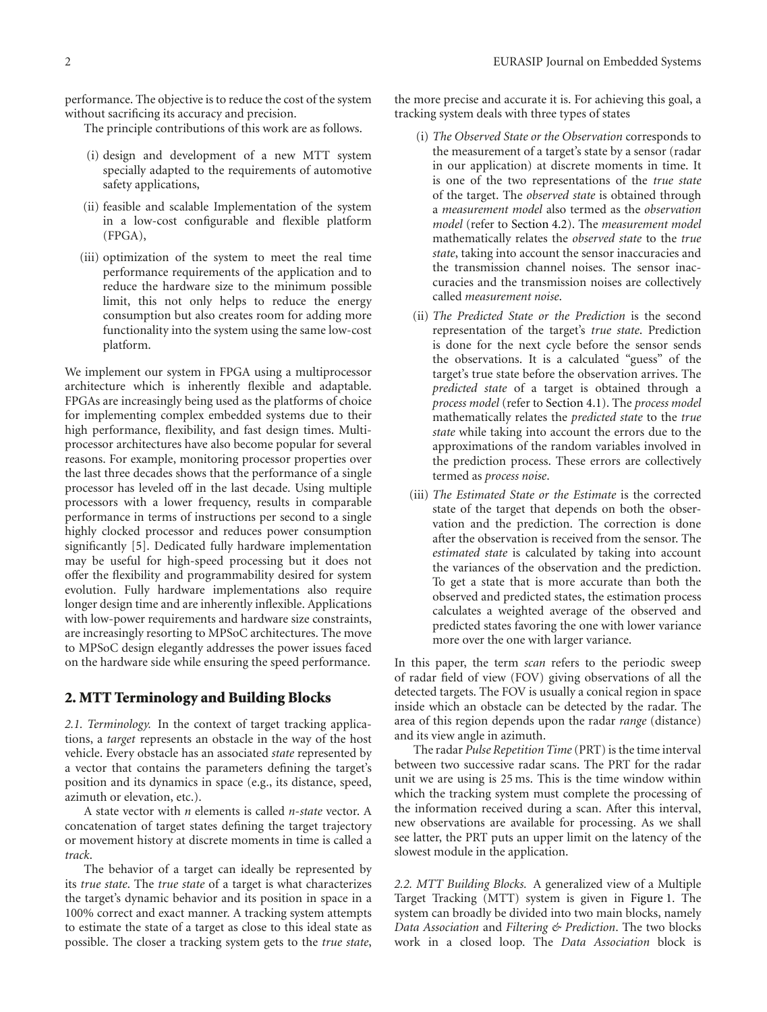performance. The objective is to reduce the cost of the system without sacrificing its accuracy and precision.

The principle contributions of this work are as follows.

- (i) design and development of a new MTT system specially adapted to the requirements of automotive safety applications,
- (ii) feasible and scalable Implementation of the system in a low-cost configurable and flexible platform (FPGA),
- (iii) optimization of the system to meet the real time performance requirements of the application and to reduce the hardware size to the minimum possible limit, this not only helps to reduce the energy consumption but also creates room for adding more functionality into the system using the same low-cost platform.

We implement our system in FPGA using a multiprocessor architecture which is inherently flexible and adaptable. FPGAs are increasingly being used as the platforms of choice for implementing complex embedded systems due to their high performance, flexibility, and fast design times. Multiprocessor architectures have also become popular for several reasons. For example, monitoring processor properties over the last three decades shows that the performance of a single processor has leveled off in the last decade. Using multiple processors with a lower frequency, results in comparable performance in terms of instructions per second to a single highly clocked processor and reduces power consumption significantly [5]. Dedicated fully hardware implementation may be useful for high-speed processing but it does not offer the flexibility and programmability desired for system evolution. Fully hardware implementations also require longer design time and are inherently inflexible. Applications with low-power requirements and hardware size constraints, are increasingly resorting to MPSoC architectures. The move to MPSoC design elegantly addresses the power issues faced on the hardware side while ensuring the speed performance.

#### **2. MTT Terminology and Building Blocks**

*2.1. Terminology.* In the context of target tracking applications, a *target* represents an obstacle in the way of the host vehicle. Every obstacle has an associated *state* represented by a vector that contains the parameters defining the target's position and its dynamics in space (e.g., its distance, speed, azimuth or elevation, etc.).

A state vector with *n* elements is called *n-state* vector. A concatenation of target states defining the target trajectory or movement history at discrete moments in time is called a *track*.

The behavior of a target can ideally be represented by its *true state*. The *true state* of a target is what characterizes the target's dynamic behavior and its position in space in a 100% correct and exact manner. A tracking system attempts to estimate the state of a target as close to this ideal state as possible. The closer a tracking system gets to the *true state*,

the more precise and accurate it is. For achieving this goal, a tracking system deals with three types of states

- (i) *The Observed State or the Observation* corresponds to the measurement of a target's state by a sensor (radar in our application) at discrete moments in time. It is one of the two representations of the *true state* of the target. The *observed state* is obtained through a *measurement model* also termed as the *observation model* (refer to Section 4.2). The *measurement model* mathematically relates the *observed state* to the *true state*, taking into account the sensor inaccuracies and the transmission channel noises. The sensor inaccuracies and the transmission noises are collectively called *measurement noise*.
- (ii) *The Predicted State or the Prediction* is the second representation of the target's *true state*. Prediction is done for the next cycle before the sensor sends the observations. It is a calculated "guess" of the target's true state before the observation arrives. The *predicted state* of a target is obtained through a *process model* (refer to Section 4.1). The *process model* mathematically relates the *predicted state* to the *true state* while taking into account the errors due to the approximations of the random variables involved in the prediction process. These errors are collectively termed as *process noise*.
- (iii) *The Estimated State or the Estimate* is the corrected state of the target that depends on both the observation and the prediction. The correction is done after the observation is received from the sensor. The *estimated state* is calculated by taking into account the variances of the observation and the prediction. To get a state that is more accurate than both the observed and predicted states, the estimation process calculates a weighted average of the observed and predicted states favoring the one with lower variance more over the one with larger variance.

In this paper, the term *scan* refers to the periodic sweep of radar field of view (FOV) giving observations of all the detected targets. The FOV is usually a conical region in space inside which an obstacle can be detected by the radar. The area of this region depends upon the radar *range* (distance) and its view angle in azimuth.

The radar *Pulse Repetition Time*(PRT) is the time interval between two successive radar scans. The PRT for the radar unit we are using is 25 ms. This is the time window within which the tracking system must complete the processing of the information received during a scan. After this interval, new observations are available for processing. As we shall see latter, the PRT puts an upper limit on the latency of the slowest module in the application.

*2.2. MTT Building Blocks.* A generalized view of a Multiple Target Tracking (MTT) system is given in Figure 1. The system can broadly be divided into two main blocks, namely *Data Association* and *Filtering & Prediction*. The two blocks work in a closed loop. The *Data Association* block is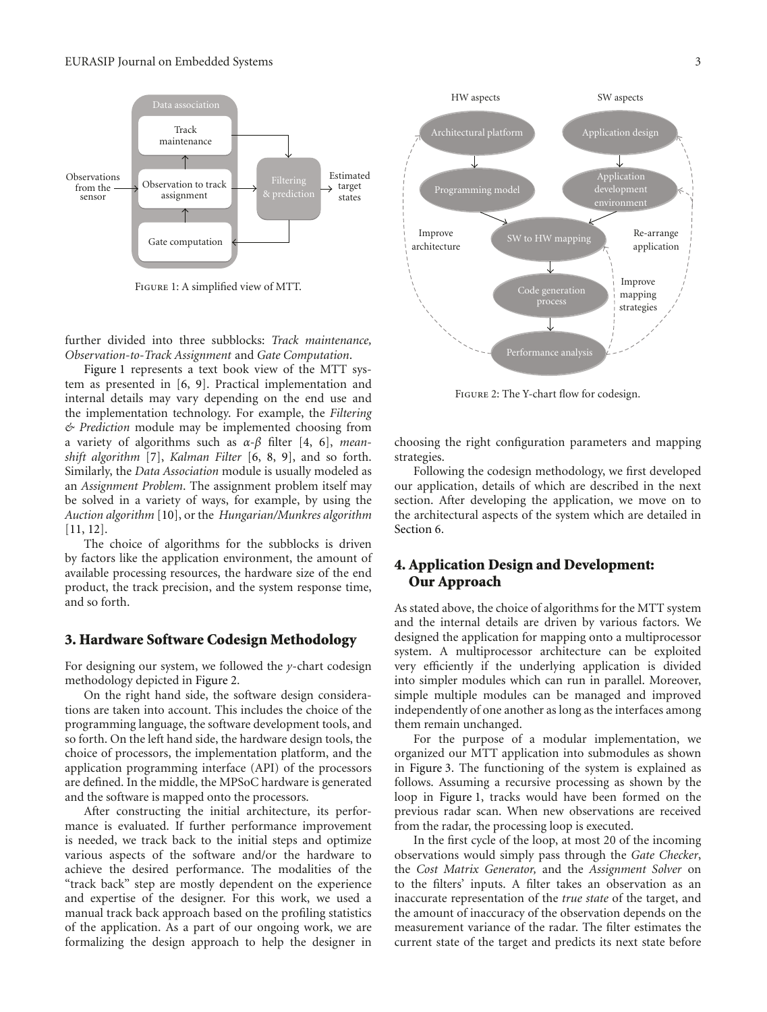

Figure 1: A simplified view of MTT.

further divided into three subblocks: *Track maintenance, Observation-to-Track Assignment* and *Gate Computation*.

Figure 1 represents a text book view of the MTT system as presented in [6, 9]. Practical implementation and internal details may vary depending on the end use and the implementation technology. For example, the *Filtering & Prediction* module may be implemented choosing from a variety of algorithms such as *α*-*β* filter [4, 6], *meanshift algorithm* [7], *Kalman Filter* [6, 8, 9], and so forth. Similarly, the *Data Association* module is usually modeled as an *Assignment Problem*. The assignment problem itself may be solved in a variety of ways, for example, by using the *Auction algorithm* [10], or the *Hungarian/Munkres algorithm* [11, 12].

The choice of algorithms for the subblocks is driven by factors like the application environment, the amount of available processing resources, the hardware size of the end product, the track precision, and the system response time, and so forth.

#### **3. Hardware Software Codesign Methodology**

For designing our system, we followed the *y*-chart codesign methodology depicted in Figure 2.

On the right hand side, the software design considerations are taken into account. This includes the choice of the programming language, the software development tools, and so forth. On the left hand side, the hardware design tools, the choice of processors, the implementation platform, and the application programming interface (API) of the processors are defined. In the middle, the MPSoC hardware is generated and the software is mapped onto the processors.

After constructing the initial architecture, its performance is evaluated. If further performance improvement is needed, we track back to the initial steps and optimize various aspects of the software and/or the hardware to achieve the desired performance. The modalities of the "track back" step are mostly dependent on the experience and expertise of the designer. For this work, we used a manual track back approach based on the profiling statistics of the application. As a part of our ongoing work, we are formalizing the design approach to help the designer in



Figure 2: The Y-chart flow for codesign.

choosing the right configuration parameters and mapping strategies.

Following the codesign methodology, we first developed our application, details of which are described in the next section. After developing the application, we move on to the architectural aspects of the system which are detailed in Section 6.

## **4. Application Design and Development: Our Approach**

As stated above, the choice of algorithms for the MTT system and the internal details are driven by various factors. We designed the application for mapping onto a multiprocessor system. A multiprocessor architecture can be exploited very efficiently if the underlying application is divided into simpler modules which can run in parallel. Moreover, simple multiple modules can be managed and improved independently of one another as long as the interfaces among them remain unchanged.

For the purpose of a modular implementation, we organized our MTT application into submodules as shown in Figure 3. The functioning of the system is explained as follows. Assuming a recursive processing as shown by the loop in Figure 1, tracks would have been formed on the previous radar scan. When new observations are received from the radar, the processing loop is executed.

In the first cycle of the loop, at most 20 of the incoming observations would simply pass through the *Gate Checker*, the *Cost Matrix Generator,* and the *Assignment Solver* on to the filters' inputs. A filter takes an observation as an inaccurate representation of the *true state* of the target, and the amount of inaccuracy of the observation depends on the measurement variance of the radar. The filter estimates the current state of the target and predicts its next state before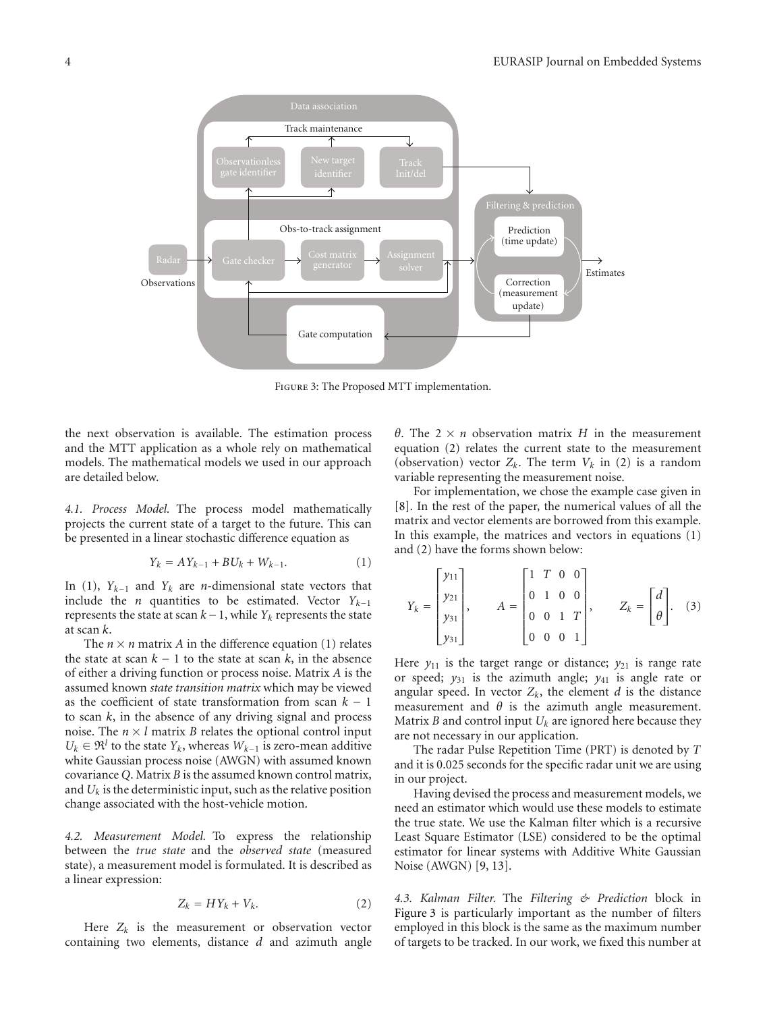

Figure 3: The Proposed MTT implementation.

the next observation is available. The estimation process and the MTT application as a whole rely on mathematical models. The mathematical models we used in our approach are detailed below.

*4.1. Process Model.* The process model mathematically projects the current state of a target to the future. This can be presented in a linear stochastic difference equation as

$$
Y_k = A Y_{k-1} + B U_k + W_{k-1}.
$$
 (1)

In (1), *Yk*−<sup>1</sup> and *Yk* are *n*-dimensional state vectors that include the *n* quantities to be estimated. Vector  $Y_{k-1}$ represents the state at scan  $k-1$ , while  $Y_k$  represents the state at scan *k*.

The  $n \times n$  matrix A in the difference equation (1) relates the state at scan  $k - 1$  to the state at scan  $k$ , in the absence of either a driving function or process noise. Matrix *A* is the assumed known *state transition matrix* which may be viewed as the coefficient of state transformation from scan *k* − 1 to scan *k*, in the absence of any driving signal and process noise. The  $n \times l$  matrix *B* relates the optional control input *U<sub>k</sub>* ∈  $\mathfrak{R}^l$  to the state  $Y_k$ , whereas  $W_{k-1}$  is zero-mean additive white Gaussian process noise (AWGN) with assumed known covariance *Q*. Matrix *B* is the assumed known control matrix, and  $U_k$  is the deterministic input, such as the relative position change associated with the host-vehicle motion.

*4.2. Measurement Model.* To express the relationship between the *true state* and the *observed state* (measured state), a measurement model is formulated. It is described as a linear expression:

$$
Z_k = HY_k + V_k. \t\t(2)
$$

Here  $Z_k$  is the measurement or observation vector containing two elements, distance *d* and azimuth angle *θ*. The 2 × *n* observation matrix *H* in the measurement equation (2) relates the current state to the measurement (observation) vector  $Z_k$ . The term  $V_k$  in (2) is a random variable representing the measurement noise.

For implementation, we chose the example case given in [8]. In the rest of the paper, the numerical values of all the matrix and vector elements are borrowed from this example. In this example, the matrices and vectors in equations (1) and (2) have the forms shown below:

$$
Y_k = \begin{bmatrix} y_{11} \\ y_{21} \\ y_{31} \\ y_{31} \end{bmatrix}, \qquad A = \begin{bmatrix} 1 & T & 0 & 0 \\ 0 & 1 & 0 & 0 \\ 0 & 0 & 1 & T \\ 0 & 0 & 0 & 1 \end{bmatrix}, \qquad Z_k = \begin{bmatrix} d \\ \theta \end{bmatrix}. \tag{3}
$$

Here  $y_{11}$  is the target range or distance;  $y_{21}$  is range rate or speed;  $y_{31}$  is the azimuth angle;  $y_{41}$  is angle rate or angular speed. In vector  $Z_k$ , the element  $d$  is the distance measurement and  $\theta$  is the azimuth angle measurement. Matrix *B* and control input *Uk* are ignored here because they are not necessary in our application.

The radar Pulse Repetition Time (PRT) is denoted by *T* and it is 0.025 seconds for the specific radar unit we are using in our project.

Having devised the process and measurement models, we need an estimator which would use these models to estimate the true state. We use the Kalman filter which is a recursive Least Square Estimator (LSE) considered to be the optimal estimator for linear systems with Additive White Gaussian Noise (AWGN) [9, 13].

*4.3. Kalman Filter.* The *Filtering & Prediction* block in Figure 3 is particularly important as the number of filters employed in this block is the same as the maximum number of targets to be tracked. In our work, we fixed this number at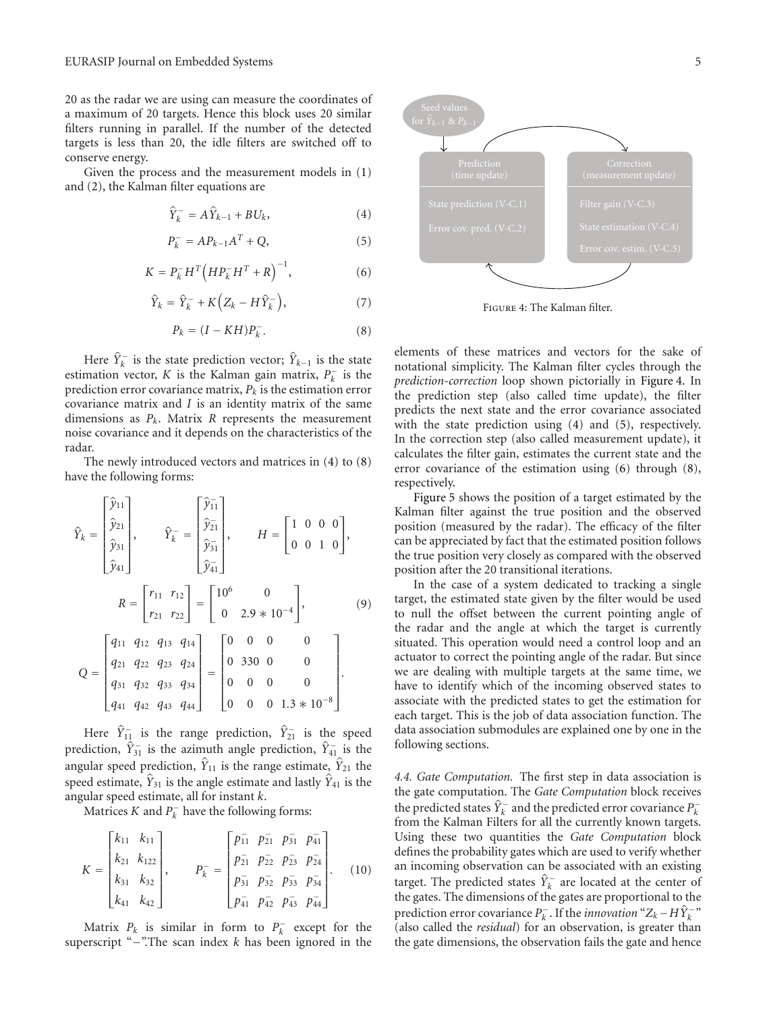20 as the radar we are using can measure the coordinates of a maximum of 20 targets. Hence this block uses 20 similar filters running in parallel. If the number of the detected targets is less than 20, the idle filters are switched off to conserve energy.

Given the process and the measurement models in (1) and (2), the Kalman filter equations are

$$
\hat{Y}_k^- = A\hat{Y}_{k-1} + BU_k,\tag{4}
$$

$$
P_k^- = AP_{k-1}A^T + Q,
$$
 (5)

$$
K = P_k^- H^T \Big( H P_k^- H^T + R \Big)^{-1}, \tag{6}
$$

$$
\widehat{Y}_k = \widehat{Y}_k^- + K\left(Z_k - H\widehat{Y}_k^-\right),\tag{7}
$$

$$
P_k = (I - KH)P_k^-.
$$
\n<sup>(8)</sup>

Here  $Y_k^-$  is the state prediction vector;  $Y_{k-1}$  is the state estimation vector, *K* is the Kalman gain matrix,  $P_k^-$  is the prediction error covariance matrix, *Pk* is the estimation error covariance matrix and *I* is an identity matrix of the same dimensions as *Pk*. Matrix *R* represents the measurement noise covariance and it depends on the characteristics of the radar.

The newly introduced vectors and matrices in (4) to (8) have the following forms:

$$
\hat{Y}_k = \begin{bmatrix} \hat{y}_{11} \\ \hat{y}_{21} \\ \hat{y}_{31} \\ \hat{y}_{41} \end{bmatrix}, \qquad \hat{Y}_k^- = \begin{bmatrix} \hat{y}_{11}^- \\ \hat{y}_{21}^- \\ \hat{y}_{31}^- \\ \hat{y}_{41} \end{bmatrix}, \qquad H = \begin{bmatrix} 1 & 0 & 0 & 0 \\ 0 & 0 & 1 & 0 \end{bmatrix},
$$
\n
$$
R = \begin{bmatrix} r_{11} & r_{12} \\ r_{21} & r_{22} \end{bmatrix} = \begin{bmatrix} 10^6 & 0 \\ 0 & 2.9 \times 10^{-4} \end{bmatrix}, \qquad (9)
$$
\n
$$
Q = \begin{bmatrix} q_{11} & q_{12} & q_{13} & q_{14} \\ q_{21} & q_{22} & q_{23} & q_{24} \\ q_{31} & q_{32} & q_{33} & q_{34} \\ q_{41} & q_{42} & q_{43} & q_{44} \end{bmatrix} = \begin{bmatrix} 0 & 0 & 0 & 0 \\ 0 & 330 & 0 & 0 \\ 0 & 0 & 0 & 1.3 \times 10^{-8} \end{bmatrix}.
$$

Here  $Y_{11}^-$  is the range prediction,  $Y_{21}^-$  is the speed prediction,  $Y_{31}^-$  is the azimuth angle prediction,  $Y_{41}^-$  is the angular speed prediction,  $\hat{Y}_{11}$  is the range estimate,  $\hat{Y}_{21}$  the speed estimate,  $\hat{Y}_{31}$  is the angle estimate and lastly  $\hat{Y}_{41}$  is the angular speed estimate, all for instant *k*.

Matrices *K* and  $P_k^-$  have the following forms:

$$
K = \begin{bmatrix} k_{11} & k_{11} \\ k_{21} & k_{122} \\ k_{31} & k_{32} \\ k_{41} & k_{42} \end{bmatrix}, \qquad P_{k}^{-} = \begin{bmatrix} p_{11}^{-} & p_{21}^{-} & p_{31}^{-} & p_{41}^{-} \\ p_{21}^{-} & p_{22}^{-} & p_{23}^{-} & p_{24}^{-} \\ p_{31}^{-} & p_{32}^{-} & p_{33}^{-} & p_{34}^{-} \\ p_{41}^{-} & p_{42}^{-} & p_{43}^{-} & p_{44}^{-} \end{bmatrix}.
$$
 (10)

Matrix  $P_k$  is similar in form to  $P_k^-$  except for the superscript "−".The scan index *k* has been ignored in the



Figure 4: The Kalman filter.

elements of these matrices and vectors for the sake of notational simplicity. The Kalman filter cycles through the *prediction-correction* loop shown pictorially in Figure 4. In the prediction step (also called time update), the filter predicts the next state and the error covariance associated with the state prediction using (4) and (5), respectively. In the correction step (also called measurement update), it calculates the filter gain, estimates the current state and the error covariance of the estimation using (6) through (8), respectively.

Figure 5 shows the position of a target estimated by the Kalman filter against the true position and the observed position (measured by the radar). The efficacy of the filter can be appreciated by fact that the estimated position follows the true position very closely as compared with the observed position after the 20 transitional iterations.

In the case of a system dedicated to tracking a single target, the estimated state given by the filter would be used to null the offset between the current pointing angle of the radar and the angle at which the target is currently situated. This operation would need a control loop and an actuator to correct the pointing angle of the radar. But since we are dealing with multiple targets at the same time, we have to identify which of the incoming observed states to associate with the predicted states to get the estimation for each target. This is the job of data association function. The data association submodules are explained one by one in the following sections.

*4.4. Gate Computation.* The first step in data association is the gate computation. The *Gate Computation* block receives the predicted states  $\hat{Y}_k^-$  and the predicted error covariance  $P_k^$ from the Kalman Filters for all the currently known targets. Using these two quantities the *Gate Computation* block defines the probability gates which are used to verify whether an incoming observation can be associated with an existing target. The predicted states *<sup>Y</sup>*<sup>−</sup> *<sup>k</sup>* are located at the center of the gates. The dimensions of the gates are proportional to the prediction error covariance  $P_k^-$ . If the *innovation* " $Z_k - HY_k^+$ " (also called the *residual*) for an observation, is greater than the gate dimensions, the observation fails the gate and hence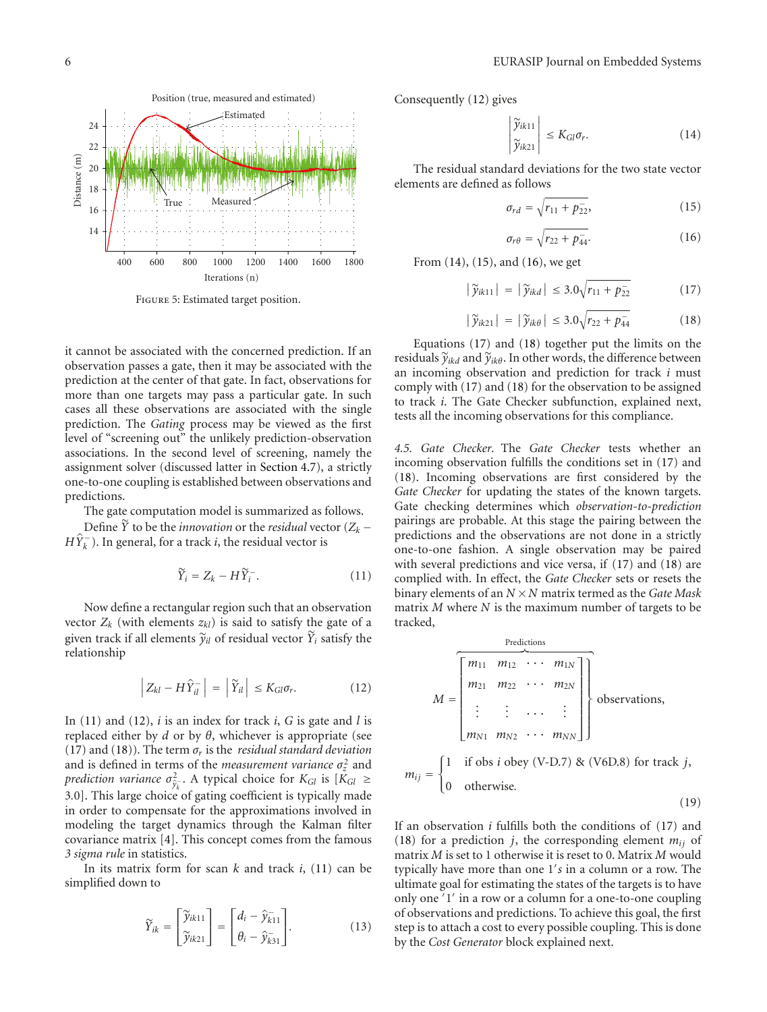![](_page_5_Figure_1.jpeg)

Figure 5: Estimated target position.

it cannot be associated with the concerned prediction. If an observation passes a gate, then it may be associated with the prediction at the center of that gate. In fact, observations for more than one targets may pass a particular gate. In such cases all these observations are associated with the single prediction. The *Gating* process may be viewed as the first level of "screening out" the unlikely prediction-observation associations. In the second level of screening, namely the assignment solver (discussed latter in Section 4.7), a strictly one-to-one coupling is established between observations and predictions.

The gate computation model is summarized as follows.

Define  $\tilde{Y}$  to be the *innovation* or the *residual* vector ( $Z_k$  −  $H\ddot{Y}_k^-$ ). In general, for a track *i*, the residual vector is

$$
\widetilde{Y}_i = Z_k - H \widetilde{Y}_i^-.
$$
\n(11)

Now define a rectangular region such that an observation vector  $Z_k$  (with elements  $z_{kl}$ ) is said to satisfy the gate of a given track if all elements  $\widetilde{\gamma}_{il}$  of residual vector  $\widetilde{Y}_i$  satisfy the relationship

$$
\left| Z_{kl} - H \hat{Y}_{il}^- \right| = \left| \tilde{Y}_{il} \right| \le K_{Gl} \sigma_r. \tag{12}
$$

In (11) and (12), *i* is an index for track *i*, *G* is gate and *l* is replaced either by *d* or by *θ*, whichever is appropriate (see (17) and (18)). The term *σr* is the *residual standard deviation* and is defined in terms of the *measurement variance*  $\sigma_z^2$  and *prediction variance*  $\sigma_{y_k}^2$ . A typical choice for  $K_{Gl}$  is  $[K_{Gl} \geq 2.0]$ . This large shall is for the proof situation to translate and the proof. 3*.*0]. This large choice of gating coefficient is typically made in order to compensate for the approximations involved in modeling the target dynamics through the Kalman filter covariance matrix [4]. This concept comes from the famous *3 sigma rule* in statistics.

In its matrix form for scan  $k$  and track  $i$ , (11) can be simplified down to

$$
\widetilde{Y}_{ik} = \begin{bmatrix} \widetilde{y}_{ik11} \\ \widetilde{y}_{ik21} \end{bmatrix} = \begin{bmatrix} d_i - \widehat{y}_{k11}^- \\ \theta_i - \widehat{y}_{k31}^- \end{bmatrix} .
$$
\n(13)

Consequently (12) gives

$$
\begin{vmatrix} \widetilde{y}_{ik11} \\ \widetilde{y}_{ik21} \end{vmatrix} \le K_{Gl} \sigma_r.
$$
 (14)

The residual standard deviations for the two state vector elements are defined as follows

$$
\sigma_{rd} = \sqrt{r_{11} + p_{22}},\tag{15}
$$

$$
\sigma_{r\theta} = \sqrt{r_{22} + p_{44}}.\tag{16}
$$

From (14), (15), and (16), we get

$$
\left|\widetilde{y}_{ik11}\right| = \left|\widetilde{y}_{ikd}\right| \le 3.0\sqrt{r_{11} + p_{22}}
$$
 (17)

$$
\left|\widetilde{y}_{ik21}\right| = \left|\widetilde{y}_{ik\theta}\right| \le 3.0\sqrt{r_{22} + p_{44}}
$$
 (18)

Equations (17) and (18) together put the limits on the residuals  $\widetilde{\gamma}_{ikd}$  and  $\widetilde{\gamma}_{ik\theta}$ . In other words, the difference between an incoming observation and prediction for track *i* must comply with (17) and (18) for the observation to be assigned to track *i*. The Gate Checker subfunction, explained next, tests all the incoming observations for this compliance.

*4.5. Gate Checker.* The *Gate Checker* tests whether an incoming observation fulfills the conditions set in (17) and (18). Incoming observations are first considered by the *Gate Checker* for updating the states of the known targets. Gate checking determines which *observation-to-prediction* pairings are probable. At this stage the pairing between the predictions and the observations are not done in a strictly one-to-one fashion. A single observation may be paired with several predictions and vice versa, if (17) and (18) are complied with. In effect, the *Gate Checker* sets or resets the binary elements of an *N* ×*N* matrix termed as the *Gate Mask* matrix *M* where *N* is the maximum number of targets to be tracked,

$$
M = \begin{bmatrix} m_{11} & m_{12} & \cdots & m_{1N} \\ m_{21} & m_{22} & \cdots & m_{2N} \\ \vdots & \vdots & \cdots & \vdots \\ m_{N1} & m_{N2} & \cdots & m_{NN} \end{bmatrix}
$$
 observations,  

$$
m_{ij} = \begin{cases} 1 & \text{if obs } i \text{ obey (V-D.7) & (V6D.8) for track } j, \\ 0 & \text{otherwise.} \end{cases}
$$
 (19)

If an observation *i* fulfills both the conditions of (17) and (18) for a prediction *j*, the corresponding element  $m_{ij}$  of matrix *M* is set to 1 otherwise it is reset to 0. Matrix *M* would typically have more than one 1 *s* in a column or a row. The ultimate goal for estimating the states of the targets is to have only one '1' in a row or a column for a one-to-one coupling of observations and predictions. To achieve this goal, the first step is to attach a cost to every possible coupling. This is done by the *Cost Generator* block explained next.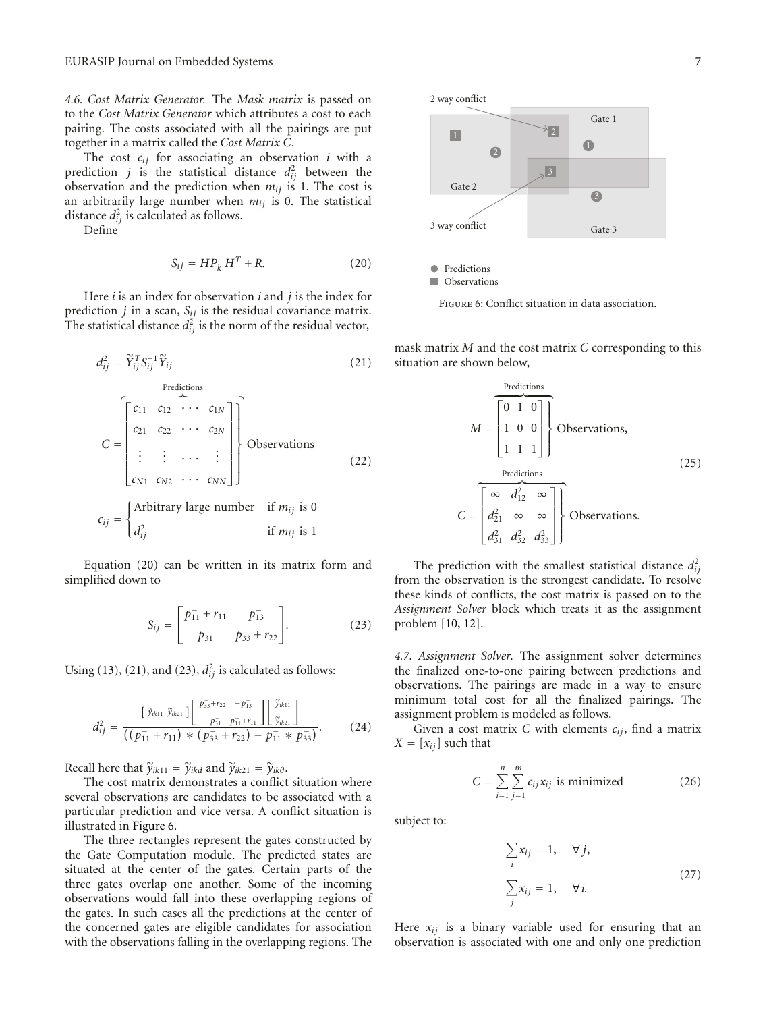*4.6. Cost Matrix Generator.* The *Mask matrix* is passed on to the *Cost Matrix Generator* which attributes a cost to each pairing. The costs associated with all the pairings are put together in a matrix called the *Cost Matrix C*.

The cost *cij* for associating an observation *i* with a prediction *j* is the statistical distance  $d_{ij}^2$  between the observation and the prediction when *mij* is 1. The cost is an arbitrarily large number when *mij* is 0. The statistical distance  $d_{ij}^2$  is calculated as follows.

Define

$$
S_{ij} = HP_k^-H^T + R.\t\t(20)
$$

Here *i* is an index for observation *i* and *j* is the index for prediction  $j$  in a scan,  $S_{ij}$  is the residual covariance matrix. The statistical distance  $d_{ij}^2$  is the norm of the residual vector,

$$
d_{ij}^2 = \widetilde{Y}_{ij}^T S_{ij}^{-1} \widetilde{Y}_{ij}
$$
 (21)

$$
C = \begin{bmatrix} c_{11} & c_{12} & \cdots & c_{1N} \\ c_{21} & c_{22} & \cdots & c_{2N} \\ \vdots & \vdots & \cdots & \vdots \\ c_{N1} & c_{N2} & \cdots & c_{NN} \end{bmatrix}
$$
 Observations (22)  

$$
c_{ij} = \begin{cases} \text{Arbitrary large number} & \text{if } m_{ij} \text{ is 0} \\ d_{ij}^2 & \text{if } m_{ij} \text{ is 1} \end{cases}
$$

Equation (20) can be written in its matrix form and simplified down to

$$
S_{ij} = \begin{bmatrix} p_{11}^- + r_{11} & p_{13}^- \\ p_{31}^- & p_{33}^- + r_{22} \end{bmatrix} .
$$
 (23)

Using (13), (21), and (23),  $d_{ij}^2$  is calculated as follows:

$$
d_{ij}^2 = \frac{\begin{bmatrix} \tilde{y}_{ik11} & \tilde{y}_{ik21} \end{bmatrix} \begin{bmatrix} p_{33}^2 + r_{22} & -p_{13}^- \\ -p_{31}^- & p_{11}^- + r_{11} \end{bmatrix} \begin{bmatrix} \tilde{y}_{ik11} \\ \tilde{y}_{ik21} \end{bmatrix}}{\left( (p_{11}^- + r_{11}) + (p_{33}^- + r_{22}) - p_{11}^- + p_{33}^- \right)}.
$$
 (24)

Recall here that  $\widetilde{y}_{ik11} = \widetilde{y}_{ikd}$  and  $\widetilde{y}_{ik21} = \widetilde{y}_{ik\theta}$ .

The cost matrix demonstrates a conflict situation where several observations are candidates to be associated with a particular prediction and vice versa. A conflict situation is illustrated in Figure 6.

The three rectangles represent the gates constructed by the Gate Computation module. The predicted states are situated at the center of the gates. Certain parts of the three gates overlap one another. Some of the incoming observations would fall into these overlapping regions of the gates. In such cases all the predictions at the center of the concerned gates are eligible candidates for association with the observations falling in the overlapping regions. The

![](_page_6_Figure_15.jpeg)

Figure 6: Conflict situation in data association.

mask matrix *M* and the cost matrix *C* corresponding to this situation are shown below,

$$
M = \begin{bmatrix} 0 & 1 & 0 \\ 1 & 0 & 0 \\ 1 & 1 & 1 \end{bmatrix}
$$
 Observations,  
\n
$$
C = \begin{bmatrix} \infty & d_{12}^2 & \infty \\ d_{21}^2 & \infty & \infty \\ d_{31}^2 & d_{32}^2 & d_{33}^2 \end{bmatrix}
$$
 Observations. (25)

The prediction with the smallest statistical distance  $d_{ij}^2$ from the observation is the strongest candidate. To resolve these kinds of conflicts, the cost matrix is passed on to the *Assignment Solver* block which treats it as the assignment problem [10, 12].

*4.7. Assignment Solver.* The assignment solver determines the finalized one-to-one pairing between predictions and observations. The pairings are made in a way to ensure minimum total cost for all the finalized pairings. The assignment problem is modeled as follows.

Given a cost matrix *C* with elements *cij*, find a matrix  $X = [x_{ij}]$  such that

$$
C = \sum_{i=1}^{n} \sum_{j=1}^{m} c_{ij} x_{ij}
$$
 is minimized (26)

subject to:

$$
\sum_{i} x_{ij} = 1, \quad \forall j,
$$
\n
$$
\sum_{j} x_{ij} = 1, \quad \forall i.
$$
\n(27)

Here  $x_{ij}$  is a binary variable used for ensuring that an observation is associated with one and only one prediction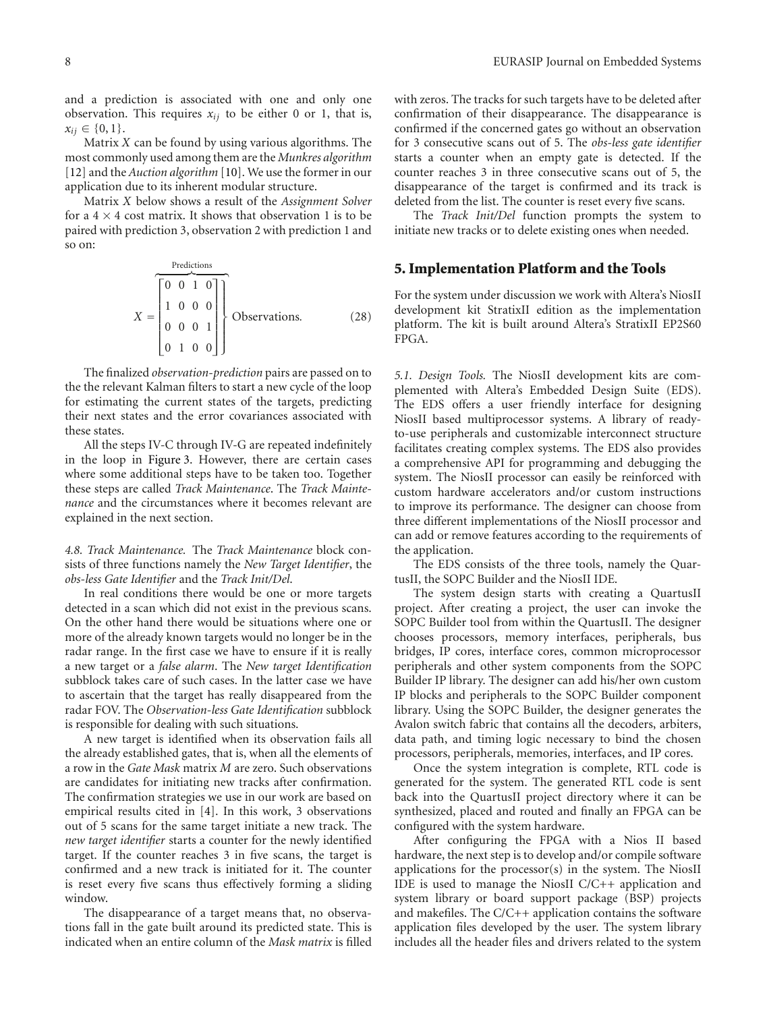and a prediction is associated with one and only one observation. This requires  $x_{ij}$  to be either 0 or 1, that is,  $x_{ii} \in \{0, 1\}.$ 

Matrix *X* can be found by using various algorithms. The most commonly used among them are the *Munkres algorithm* [12] and the *Auction algorithm* [10]. We use the former in our application due to its inherent modular structure.

Matrix *X* below shows a result of the *Assignment Solver* for a  $4 \times 4$  cost matrix. It shows that observation 1 is to be paired with prediction 3, observation 2 with prediction 1 and so on:

$$
X = \begin{bmatrix} 0 & 0 & 1 & 0 \\ 1 & 0 & 0 & 0 \\ 0 & 0 & 0 & 1 \\ 0 & 1 & 0 & 0 \end{bmatrix}
$$
 Observations. (28)

The finalized *observation-prediction* pairs are passed on to the the relevant Kalman filters to start a new cycle of the loop for estimating the current states of the targets, predicting their next states and the error covariances associated with these states.

All the steps IV-C through IV-G are repeated indefinitely in the loop in Figure 3. However, there are certain cases where some additional steps have to be taken too. Together these steps are called *Track Maintenance*. The *Track Maintenance* and the circumstances where it becomes relevant are explained in the next section.

#### *4.8. Track Maintenance.* The *Track Maintenance* block consists of three functions namely the *New Target Identifier*, the *obs-less Gate Identifier* and the *Track Init/Del*.

In real conditions there would be one or more targets detected in a scan which did not exist in the previous scans. On the other hand there would be situations where one or more of the already known targets would no longer be in the radar range. In the first case we have to ensure if it is really a new target or a *false alarm*. The *New target Identification* subblock takes care of such cases. In the latter case we have to ascertain that the target has really disappeared from the radar FOV. The *Observation-less Gate Identification* subblock is responsible for dealing with such situations.

A new target is identified when its observation fails all the already established gates, that is, when all the elements of a row in the *Gate Mask* matrix *M* are zero. Such observations are candidates for initiating new tracks after confirmation. The confirmation strategies we use in our work are based on empirical results cited in [4]. In this work, 3 observations out of 5 scans for the same target initiate a new track. The *new target identifier* starts a counter for the newly identified target. If the counter reaches 3 in five scans, the target is confirmed and a new track is initiated for it. The counter is reset every five scans thus effectively forming a sliding window.

The disappearance of a target means that, no observations fall in the gate built around its predicted state. This is indicated when an entire column of the *Mask matrix* is filled with zeros. The tracks for such targets have to be deleted after confirmation of their disappearance. The disappearance is confirmed if the concerned gates go without an observation for 3 consecutive scans out of 5. The *obs-less gate identifier* starts a counter when an empty gate is detected. If the counter reaches 3 in three consecutive scans out of 5, the disappearance of the target is confirmed and its track is deleted from the list. The counter is reset every five scans.

The *Track Init/Del* function prompts the system to initiate new tracks or to delete existing ones when needed.

#### **5. Implementation Platform and the Tools**

For the system under discussion we work with Altera's NiosII development kit StratixII edition as the implementation platform. The kit is built around Altera's StratixII EP2S60 FPGA.

*5.1. Design Tools.* The NiosII development kits are complemented with Altera's Embedded Design Suite (EDS). The EDS offers a user friendly interface for designing NiosII based multiprocessor systems. A library of readyto-use peripherals and customizable interconnect structure facilitates creating complex systems. The EDS also provides a comprehensive API for programming and debugging the system. The NiosII processor can easily be reinforced with custom hardware accelerators and/or custom instructions to improve its performance. The designer can choose from three different implementations of the NiosII processor and can add or remove features according to the requirements of the application.

The EDS consists of the three tools, namely the QuartusII, the SOPC Builder and the NiosII IDE.

The system design starts with creating a QuartusII project. After creating a project, the user can invoke the SOPC Builder tool from within the QuartusII. The designer chooses processors, memory interfaces, peripherals, bus bridges, IP cores, interface cores, common microprocessor peripherals and other system components from the SOPC Builder IP library. The designer can add his/her own custom IP blocks and peripherals to the SOPC Builder component library. Using the SOPC Builder, the designer generates the Avalon switch fabric that contains all the decoders, arbiters, data path, and timing logic necessary to bind the chosen processors, peripherals, memories, interfaces, and IP cores.

Once the system integration is complete, RTL code is generated for the system. The generated RTL code is sent back into the QuartusII project directory where it can be synthesized, placed and routed and finally an FPGA can be configured with the system hardware.

After configuring the FPGA with a Nios II based hardware, the next step is to develop and/or compile software applications for the processor(s) in the system. The NiosII IDE is used to manage the NiosII C/C++ application and system library or board support package (BSP) projects and makefiles. The C/C++ application contains the software application files developed by the user. The system library includes all the header files and drivers related to the system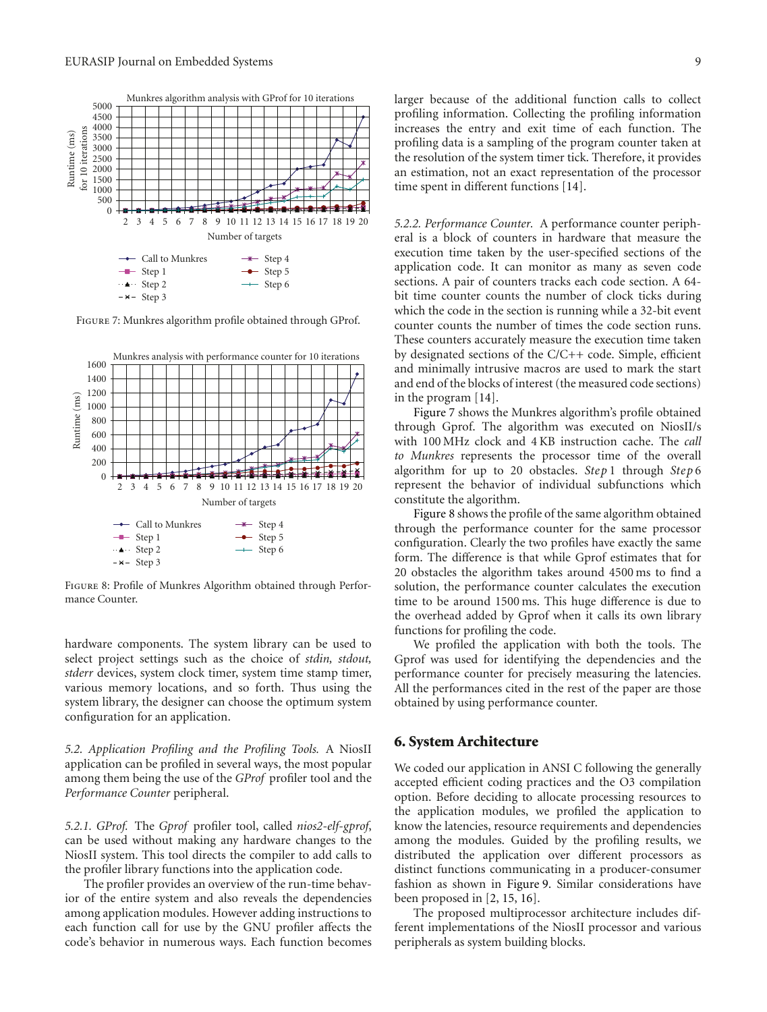![](_page_8_Figure_1.jpeg)

Figure 7: Munkres algorithm profile obtained through GProf.

![](_page_8_Figure_3.jpeg)

Figure 8: Profile of Munkres Algorithm obtained through Performance Counter.

hardware components. The system library can be used to select project settings such as the choice of *stdin, stdout, stderr* devices, system clock timer, system time stamp timer, various memory locations, and so forth. Thus using the system library, the designer can choose the optimum system configuration for an application.

*5.2. Application Profiling and the Profiling Tools.* A NiosII application can be profiled in several ways, the most popular among them being the use of the *GProf* profiler tool and the *Performance Counter* peripheral.

*5.2.1. GProf.* The *Gprof* profiler tool, called *nios2-elf-gprof*, can be used without making any hardware changes to the NiosII system. This tool directs the compiler to add calls to the profiler library functions into the application code.

The profiler provides an overview of the run-time behavior of the entire system and also reveals the dependencies among application modules. However adding instructions to each function call for use by the GNU profiler affects the code's behavior in numerous ways. Each function becomes larger because of the additional function calls to collect profiling information. Collecting the profiling information increases the entry and exit time of each function. The profiling data is a sampling of the program counter taken at the resolution of the system timer tick. Therefore, it provides an estimation, not an exact representation of the processor time spent in different functions [14].

*5.2.2. Performance Counter.* A performance counter peripheral is a block of counters in hardware that measure the execution time taken by the user-specified sections of the application code. It can monitor as many as seven code sections. A pair of counters tracks each code section. A 64 bit time counter counts the number of clock ticks during which the code in the section is running while a 32-bit event counter counts the number of times the code section runs. These counters accurately measure the execution time taken by designated sections of the C/C++ code. Simple, efficient and minimally intrusive macros are used to mark the start and end of the blocks of interest (the measured code sections) in the program [14].

Figure 7 shows the Munkres algorithm's profile obtained through Gprof. The algorithm was executed on NiosII/s with 100 MHz clock and 4 KB instruction cache. The *call to Munkres* represents the processor time of the overall algorithm for up to 20 obstacles. *Step* 1 through *Step* 6 represent the behavior of individual subfunctions which constitute the algorithm.

Figure 8 shows the profile of the same algorithm obtained through the performance counter for the same processor configuration. Clearly the two profiles have exactly the same form. The difference is that while Gprof estimates that for 20 obstacles the algorithm takes around 4500 ms to find a solution, the performance counter calculates the execution time to be around 1500 ms. This huge difference is due to the overhead added by Gprof when it calls its own library functions for profiling the code.

We profiled the application with both the tools. The Gprof was used for identifying the dependencies and the performance counter for precisely measuring the latencies. All the performances cited in the rest of the paper are those obtained by using performance counter.

#### **6. System Architecture**

We coded our application in ANSI C following the generally accepted efficient coding practices and the O3 compilation option. Before deciding to allocate processing resources to the application modules, we profiled the application to know the latencies, resource requirements and dependencies among the modules. Guided by the profiling results, we distributed the application over different processors as distinct functions communicating in a producer-consumer fashion as shown in Figure 9. Similar considerations have been proposed in [2, 15, 16].

The proposed multiprocessor architecture includes different implementations of the NiosII processor and various peripherals as system building blocks.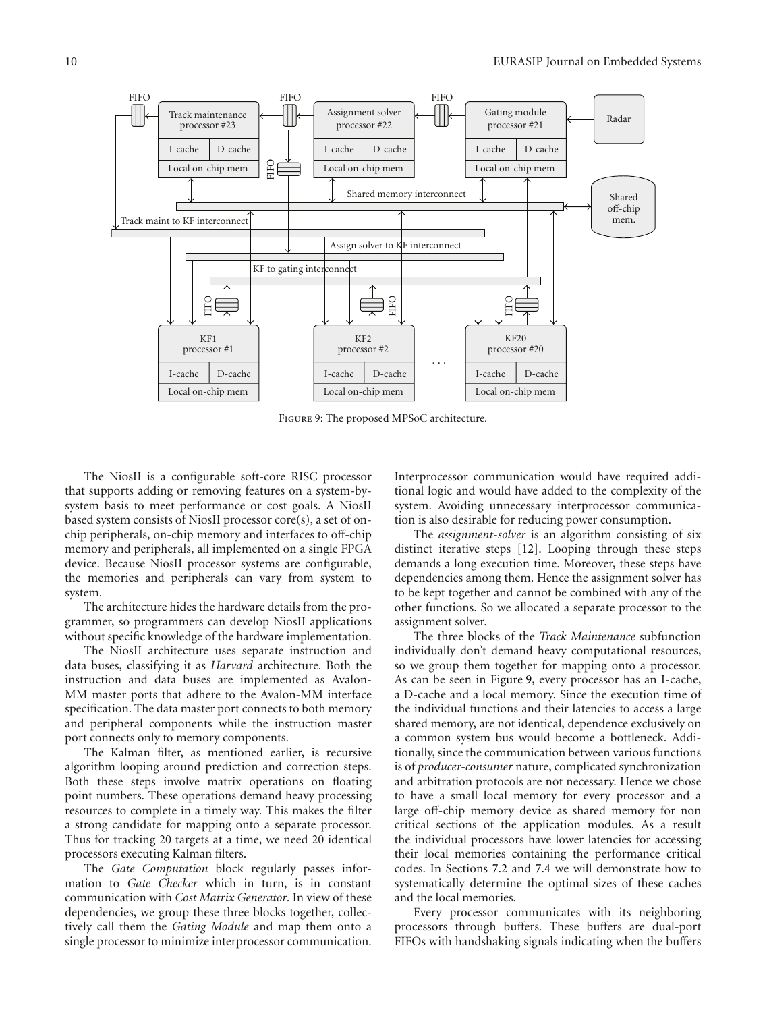![](_page_9_Figure_1.jpeg)

Figure 9: The proposed MPSoC architecture.

The NiosII is a configurable soft-core RISC processor that supports adding or removing features on a system-bysystem basis to meet performance or cost goals. A NiosII based system consists of NiosII processor core(s), a set of onchip peripherals, on-chip memory and interfaces to off-chip memory and peripherals, all implemented on a single FPGA device. Because NiosII processor systems are configurable, the memories and peripherals can vary from system to system.

The architecture hides the hardware details from the programmer, so programmers can develop NiosII applications without specific knowledge of the hardware implementation.

The NiosII architecture uses separate instruction and data buses, classifying it as *Harvard* architecture. Both the instruction and data buses are implemented as Avalon-MM master ports that adhere to the Avalon-MM interface specification. The data master port connects to both memory and peripheral components while the instruction master port connects only to memory components.

The Kalman filter, as mentioned earlier, is recursive algorithm looping around prediction and correction steps. Both these steps involve matrix operations on floating point numbers. These operations demand heavy processing resources to complete in a timely way. This makes the filter a strong candidate for mapping onto a separate processor. Thus for tracking 20 targets at a time, we need 20 identical processors executing Kalman filters.

The *Gate Computation* block regularly passes information to *Gate Checker* which in turn, is in constant communication with *Cost Matrix Generator*. In view of these dependencies, we group these three blocks together, collectively call them the *Gating Module* and map them onto a single processor to minimize interprocessor communication.

Interprocessor communication would have required additional logic and would have added to the complexity of the system. Avoiding unnecessary interprocessor communication is also desirable for reducing power consumption.

The *assignment-solver* is an algorithm consisting of six distinct iterative steps [12]. Looping through these steps demands a long execution time. Moreover, these steps have dependencies among them. Hence the assignment solver has to be kept together and cannot be combined with any of the other functions. So we allocated a separate processor to the assignment solver.

The three blocks of the *Track Maintenance* subfunction individually don't demand heavy computational resources, so we group them together for mapping onto a processor. As can be seen in Figure 9, every processor has an I-cache, a D-cache and a local memory. Since the execution time of the individual functions and their latencies to access a large shared memory, are not identical, dependence exclusively on a common system bus would become a bottleneck. Additionally, since the communication between various functions is of *producer-consumer* nature, complicated synchronization and arbitration protocols are not necessary. Hence we chose to have a small local memory for every processor and a large off-chip memory device as shared memory for non critical sections of the application modules. As a result the individual processors have lower latencies for accessing their local memories containing the performance critical codes. In Sections 7.2 and 7.4 we will demonstrate how to systematically determine the optimal sizes of these caches and the local memories.

Every processor communicates with its neighboring processors through buffers. These buffers are dual-port FIFOs with handshaking signals indicating when the buffers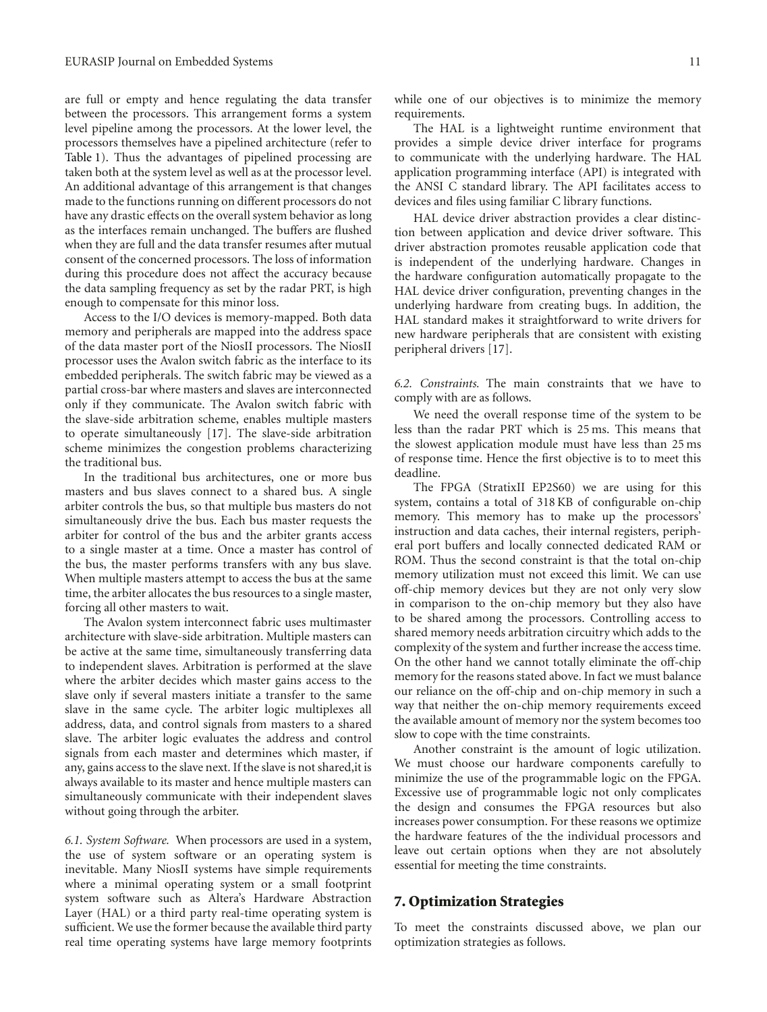are full or empty and hence regulating the data transfer between the processors. This arrangement forms a system level pipeline among the processors. At the lower level, the processors themselves have a pipelined architecture (refer to Table 1). Thus the advantages of pipelined processing are taken both at the system level as well as at the processor level. An additional advantage of this arrangement is that changes made to the functions running on different processors do not have any drastic effects on the overall system behavior as long as the interfaces remain unchanged. The buffers are flushed when they are full and the data transfer resumes after mutual consent of the concerned processors. The loss of information during this procedure does not affect the accuracy because the data sampling frequency as set by the radar PRT, is high enough to compensate for this minor loss.

Access to the I/O devices is memory-mapped. Both data memory and peripherals are mapped into the address space of the data master port of the NiosII processors. The NiosII processor uses the Avalon switch fabric as the interface to its embedded peripherals. The switch fabric may be viewed as a partial cross-bar where masters and slaves are interconnected only if they communicate. The Avalon switch fabric with the slave-side arbitration scheme, enables multiple masters to operate simultaneously [17]. The slave-side arbitration scheme minimizes the congestion problems characterizing the traditional bus.

In the traditional bus architectures, one or more bus masters and bus slaves connect to a shared bus. A single arbiter controls the bus, so that multiple bus masters do not simultaneously drive the bus. Each bus master requests the arbiter for control of the bus and the arbiter grants access to a single master at a time. Once a master has control of the bus, the master performs transfers with any bus slave. When multiple masters attempt to access the bus at the same time, the arbiter allocates the bus resources to a single master, forcing all other masters to wait.

The Avalon system interconnect fabric uses multimaster architecture with slave-side arbitration. Multiple masters can be active at the same time, simultaneously transferring data to independent slaves. Arbitration is performed at the slave where the arbiter decides which master gains access to the slave only if several masters initiate a transfer to the same slave in the same cycle. The arbiter logic multiplexes all address, data, and control signals from masters to a shared slave. The arbiter logic evaluates the address and control signals from each master and determines which master, if any, gains access to the slave next. If the slave is not shared,it is always available to its master and hence multiple masters can simultaneously communicate with their independent slaves without going through the arbiter.

*6.1. System Software.* When processors are used in a system, the use of system software or an operating system is inevitable. Many NiosII systems have simple requirements where a minimal operating system or a small footprint system software such as Altera's Hardware Abstraction Layer (HAL) or a third party real-time operating system is sufficient. We use the former because the available third party real time operating systems have large memory footprints

while one of our objectives is to minimize the memory requirements.

The HAL is a lightweight runtime environment that provides a simple device driver interface for programs to communicate with the underlying hardware. The HAL application programming interface (API) is integrated with the ANSI C standard library. The API facilitates access to devices and files using familiar C library functions.

HAL device driver abstraction provides a clear distinction between application and device driver software. This driver abstraction promotes reusable application code that is independent of the underlying hardware. Changes in the hardware configuration automatically propagate to the HAL device driver configuration, preventing changes in the underlying hardware from creating bugs. In addition, the HAL standard makes it straightforward to write drivers for new hardware peripherals that are consistent with existing peripheral drivers [17].

*6.2. Constraints.* The main constraints that we have to comply with are as follows.

We need the overall response time of the system to be less than the radar PRT which is 25 ms. This means that the slowest application module must have less than 25 ms of response time. Hence the first objective is to to meet this deadline.

The FPGA (StratixII EP2S60) we are using for this system, contains a total of 318 KB of configurable on-chip memory. This memory has to make up the processors' instruction and data caches, their internal registers, peripheral port buffers and locally connected dedicated RAM or ROM. Thus the second constraint is that the total on-chip memory utilization must not exceed this limit. We can use off-chip memory devices but they are not only very slow in comparison to the on-chip memory but they also have to be shared among the processors. Controlling access to shared memory needs arbitration circuitry which adds to the complexity of the system and further increase the access time. On the other hand we cannot totally eliminate the off-chip memory for the reasons stated above. In fact we must balance our reliance on the off-chip and on-chip memory in such a way that neither the on-chip memory requirements exceed the available amount of memory nor the system becomes too slow to cope with the time constraints.

Another constraint is the amount of logic utilization. We must choose our hardware components carefully to minimize the use of the programmable logic on the FPGA. Excessive use of programmable logic not only complicates the design and consumes the FPGA resources but also increases power consumption. For these reasons we optimize the hardware features of the the individual processors and leave out certain options when they are not absolutely essential for meeting the time constraints.

## **7. Optimization Strategies**

To meet the constraints discussed above, we plan our optimization strategies as follows.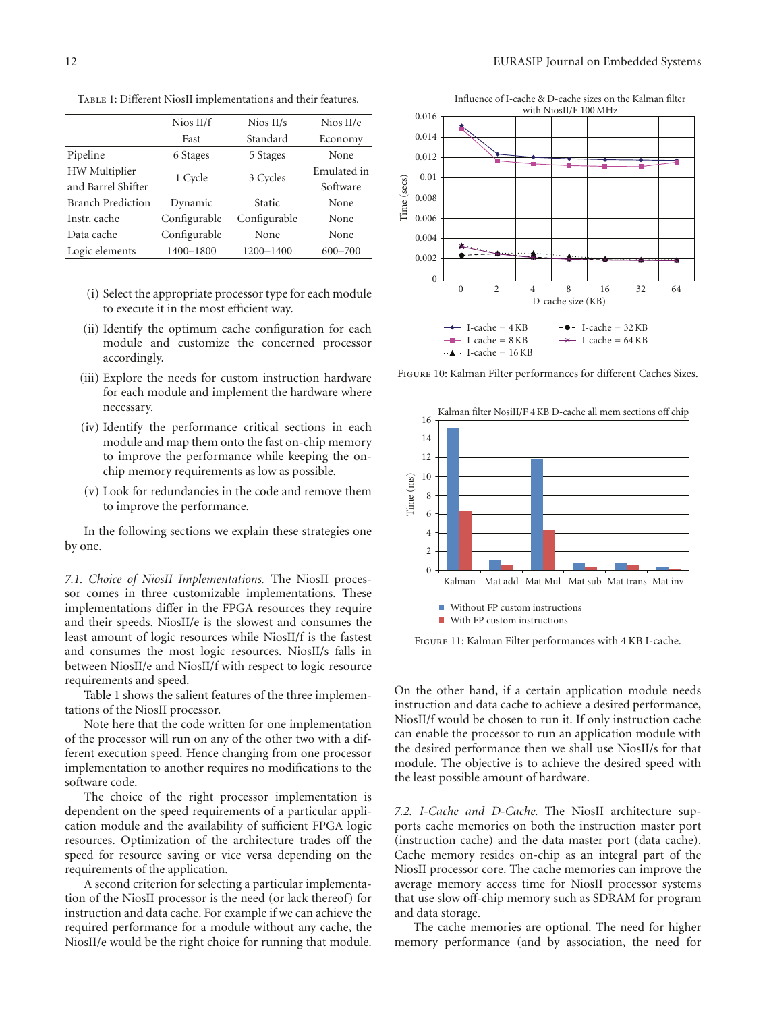Table 1: Different NiosII implementations and their features.

|                          | Nios II/f    | Nios II/s    | Nios II/e   |
|--------------------------|--------------|--------------|-------------|
|                          | Fast         | Standard     | Economy     |
| Pipeline                 | 6 Stages     | 5 Stages     | None        |
| <b>HW</b> Multiplier     | 1 Cycle      | 3 Cycles     | Emulated in |
| and Barrel Shifter       |              |              | Software    |
| <b>Branch Prediction</b> | Dynamic      | Static       | None        |
| Instr. cache             | Configurable | Configurable | None        |
| Data cache               | Configurable | None         | None        |
| Logic elements           | 1400-1800    | 1200-1400    | 600-700     |

- (i) Select the appropriate processor type for each module to execute it in the most efficient way.
- (ii) Identify the optimum cache configuration for each module and customize the concerned processor accordingly.
- (iii) Explore the needs for custom instruction hardware for each module and implement the hardware where necessary.
- (iv) Identify the performance critical sections in each module and map them onto the fast on-chip memory to improve the performance while keeping the onchip memory requirements as low as possible.
- (v) Look for redundancies in the code and remove them to improve the performance.

In the following sections we explain these strategies one by one.

*7.1. Choice of NiosII Implementations.* The NiosII processor comes in three customizable implementations. These implementations differ in the FPGA resources they require and their speeds. NiosII/e is the slowest and consumes the least amount of logic resources while NiosII/f is the fastest and consumes the most logic resources. NiosII/s falls in between NiosII/e and NiosII/f with respect to logic resource requirements and speed.

Table 1 shows the salient features of the three implementations of the NiosII processor.

Note here that the code written for one implementation of the processor will run on any of the other two with a different execution speed. Hence changing from one processor implementation to another requires no modifications to the software code.

The choice of the right processor implementation is dependent on the speed requirements of a particular application module and the availability of sufficient FPGA logic resources. Optimization of the architecture trades off the speed for resource saving or vice versa depending on the requirements of the application.

A second criterion for selecting a particular implementation of the NiosII processor is the need (or lack thereof) for instruction and data cache. For example if we can achieve the required performance for a module without any cache, the NiosII/e would be the right choice for running that module.

![](_page_11_Figure_15.jpeg)

Figure 10: Kalman Filter performances for different Caches Sizes.

![](_page_11_Figure_17.jpeg)

Figure 11: Kalman Filter performances with 4 KB I-cache.

On the other hand, if a certain application module needs instruction and data cache to achieve a desired performance, NiosII/f would be chosen to run it. If only instruction cache can enable the processor to run an application module with the desired performance then we shall use NiosII/s for that module. The objective is to achieve the desired speed with the least possible amount of hardware.

*7.2. I-Cache and D-Cache.* The NiosII architecture supports cache memories on both the instruction master port (instruction cache) and the data master port (data cache). Cache memory resides on-chip as an integral part of the NiosII processor core. The cache memories can improve the average memory access time for NiosII processor systems that use slow off-chip memory such as SDRAM for program and data storage.

The cache memories are optional. The need for higher memory performance (and by association, the need for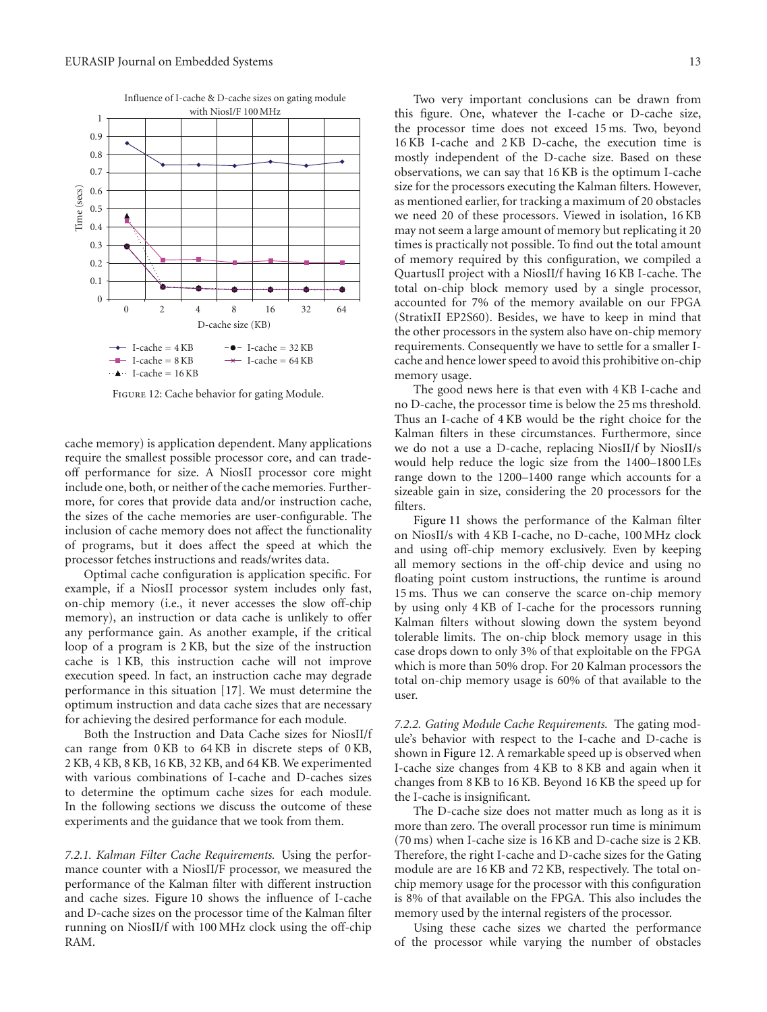Influence of I-cache & D-cache sizes on gating module

![](_page_12_Figure_2.jpeg)

Figure 12: Cache behavior for gating Module.

cache memory) is application dependent. Many applications require the smallest possible processor core, and can tradeoff performance for size. A NiosII processor core might include one, both, or neither of the cache memories. Furthermore, for cores that provide data and/or instruction cache, the sizes of the cache memories are user-configurable. The inclusion of cache memory does not affect the functionality of programs, but it does affect the speed at which the processor fetches instructions and reads/writes data.

Optimal cache configuration is application specific. For example, if a NiosII processor system includes only fast, on-chip memory (i.e., it never accesses the slow off-chip memory), an instruction or data cache is unlikely to offer any performance gain. As another example, if the critical loop of a program is 2 KB, but the size of the instruction cache is 1 KB, this instruction cache will not improve execution speed. In fact, an instruction cache may degrade performance in this situation [17]. We must determine the optimum instruction and data cache sizes that are necessary for achieving the desired performance for each module.

Both the Instruction and Data Cache sizes for NiosII/f can range from 0 KB to 64 KB in discrete steps of 0 KB, 2 KB, 4 KB, 8 KB, 16 KB, 32 KB, and 64 KB. We experimented with various combinations of I-cache and D-caches sizes to determine the optimum cache sizes for each module. In the following sections we discuss the outcome of these experiments and the guidance that we took from them.

*7.2.1. Kalman Filter Cache Requirements.* Using the performance counter with a NiosII/F processor, we measured the performance of the Kalman filter with different instruction and cache sizes. Figure 10 shows the influence of I-cache and D-cache sizes on the processor time of the Kalman filter running on NiosII/f with 100 MHz clock using the off-chip RAM.

Two very important conclusions can be drawn from this figure. One, whatever the I-cache or D-cache size, the processor time does not exceed 15 ms. Two, beyond 16 KB I-cache and 2 KB D-cache, the execution time is mostly independent of the D-cache size. Based on these observations, we can say that 16 KB is the optimum I-cache size for the processors executing the Kalman filters. However, as mentioned earlier, for tracking a maximum of 20 obstacles we need 20 of these processors. Viewed in isolation, 16 KB may not seem a large amount of memory but replicating it 20 times is practically not possible. To find out the total amount of memory required by this configuration, we compiled a QuartusII project with a NiosII/f having 16 KB I-cache. The total on-chip block memory used by a single processor, accounted for 7% of the memory available on our FPGA (StratixII EP2S60). Besides, we have to keep in mind that the other processors in the system also have on-chip memory requirements. Consequently we have to settle for a smaller Icache and hence lower speed to avoid this prohibitive on-chip memory usage.

The good news here is that even with 4 KB I-cache and no D-cache, the processor time is below the 25 ms threshold. Thus an I-cache of 4 KB would be the right choice for the Kalman filters in these circumstances. Furthermore, since we do not a use a D-cache, replacing NiosII/f by NiosII/s would help reduce the logic size from the 1400–1800 LEs range down to the 1200–1400 range which accounts for a sizeable gain in size, considering the 20 processors for the filters.

Figure 11 shows the performance of the Kalman filter on NiosII/s with 4 KB I-cache, no D-cache, 100 MHz clock and using off-chip memory exclusively. Even by keeping all memory sections in the off-chip device and using no floating point custom instructions, the runtime is around 15 ms. Thus we can conserve the scarce on-chip memory by using only 4 KB of I-cache for the processors running Kalman filters without slowing down the system beyond tolerable limits. The on-chip block memory usage in this case drops down to only 3% of that exploitable on the FPGA which is more than 50% drop. For 20 Kalman processors the total on-chip memory usage is 60% of that available to the user.

*7.2.2. Gating Module Cache Requirements.* The gating module's behavior with respect to the I-cache and D-cache is shown in Figure 12. A remarkable speed up is observed when I-cache size changes from 4 KB to 8 KB and again when it changes from 8 KB to 16 KB. Beyond 16 KB the speed up for the I-cache is insignificant.

The D-cache size does not matter much as long as it is more than zero. The overall processor run time is minimum (70 ms) when I-cache size is 16 KB and D-cache size is 2 KB. Therefore, the right I-cache and D-cache sizes for the Gating module are are 16 KB and 72 KB, respectively. The total onchip memory usage for the processor with this configuration is 8% of that available on the FPGA. This also includes the memory used by the internal registers of the processor.

Using these cache sizes we charted the performance of the processor while varying the number of obstacles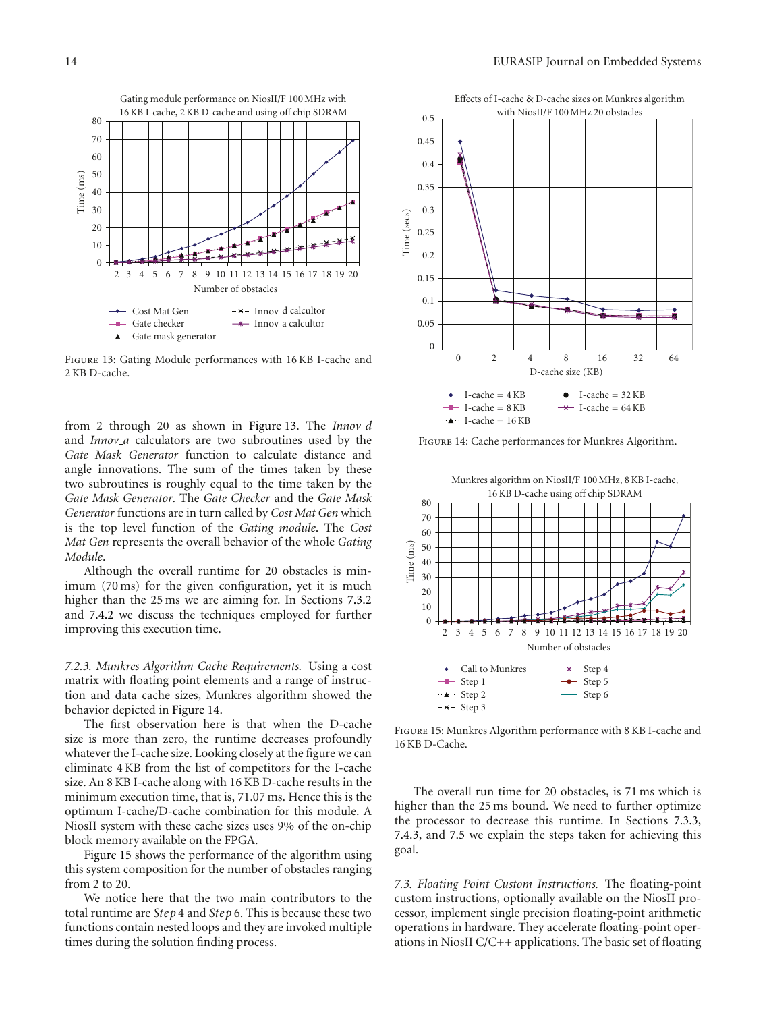![](_page_13_Figure_2.jpeg)

Figure 13: Gating Module performances with 16 KB I-cache and 2 KB D-cache.

from 2 through 20 as shown in Figure 13. The *Innov d* and *Innov\_a* calculators are two subroutines used by the *Gate Mask Generator* function to calculate distance and angle innovations. The sum of the times taken by these two subroutines is roughly equal to the time taken by the *Gate Mask Generator*. The *Gate Checker* and the *Gate Mask Generator* functions are in turn called by *Cost Mat Gen* which is the top level function of the *Gating module*. The *Cost Mat Gen* represents the overall behavior of the whole *Gating Module*.

Although the overall runtime for 20 obstacles is minimum (70 ms) for the given configuration, yet it is much higher than the 25 ms we are aiming for. In Sections 7.3.2 and 7.4.2 we discuss the techniques employed for further improving this execution time.

*7.2.3. Munkres Algorithm Cache Requirements.* Using a cost matrix with floating point elements and a range of instruction and data cache sizes, Munkres algorithm showed the behavior depicted in Figure 14.

The first observation here is that when the D-cache size is more than zero, the runtime decreases profoundly whatever the I-cache size. Looking closely at the figure we can eliminate 4 KB from the list of competitors for the I-cache size. An 8 KB I-cache along with 16 KB D-cache results in the minimum execution time, that is, 71.07 ms. Hence this is the optimum I-cache/D-cache combination for this module. A NiosII system with these cache sizes uses 9% of the on-chip block memory available on the FPGA.

Figure 15 shows the performance of the algorithm using this system composition for the number of obstacles ranging from 2 to 20.

We notice here that the two main contributors to the total runtime are *Step* 4 and *Step* 6. This is because these two functions contain nested loops and they are invoked multiple times during the solution finding process.

Effects of I-cache & D-cache sizes on Munkres algorithm

![](_page_13_Figure_11.jpeg)

Figure 14: Cache performances for Munkres Algorithm.

Munkres algorithm on NiosII/F 100 MHz, 8 KB I-cache, 16 KB D-cache using off chip SDRAM

![](_page_13_Figure_14.jpeg)

Figure 15: Munkres Algorithm performance with 8 KB I-cache and 16 KB D-Cache.

The overall run time for 20 obstacles, is 71 ms which is higher than the 25 ms bound. We need to further optimize the processor to decrease this runtime. In Sections 7.3.3, 7.4.3, and 7.5 we explain the steps taken for achieving this goal.

*7.3. Floating Point Custom Instructions.* The floating-point custom instructions, optionally available on the NiosII processor, implement single precision floating-point arithmetic operations in hardware. They accelerate floating-point operations in NiosII C/C++ applications. The basic set of floating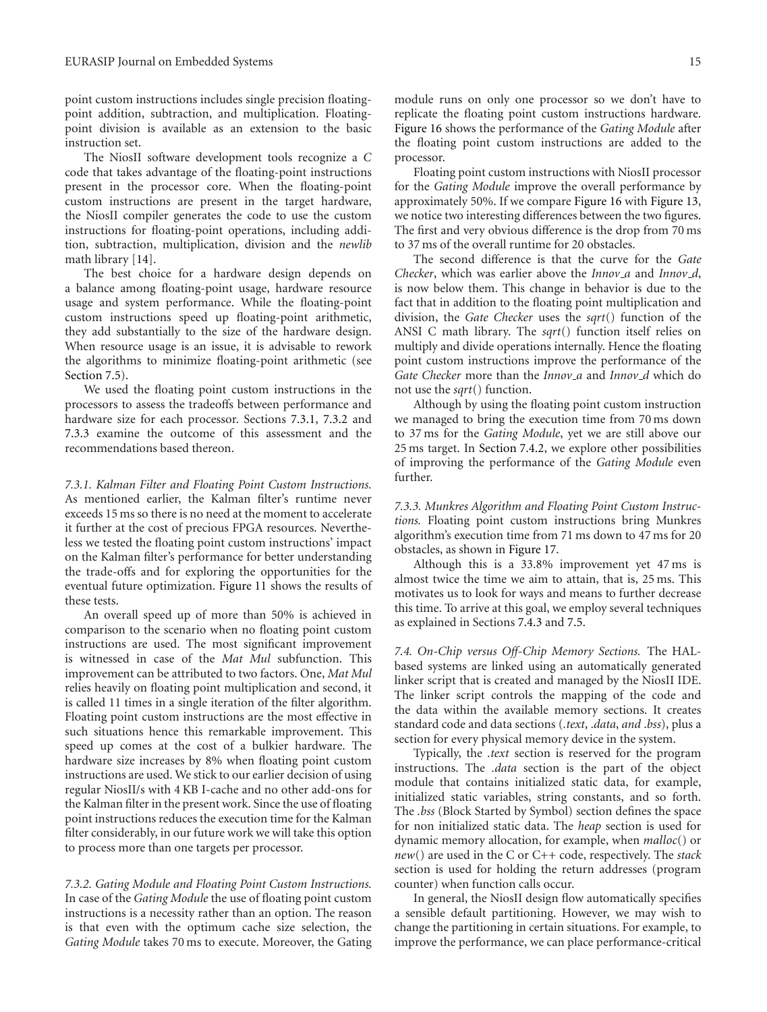point custom instructions includes single precision floatingpoint addition, subtraction, and multiplication. Floatingpoint division is available as an extension to the basic instruction set.

The NiosII software development tools recognize a *C* code that takes advantage of the floating-point instructions present in the processor core. When the floating-point custom instructions are present in the target hardware, the NiosII compiler generates the code to use the custom instructions for floating-point operations, including addition, subtraction, multiplication, division and the *newlib* math library [14].

The best choice for a hardware design depends on a balance among floating-point usage, hardware resource usage and system performance. While the floating-point custom instructions speed up floating-point arithmetic, they add substantially to the size of the hardware design. When resource usage is an issue, it is advisable to rework the algorithms to minimize floating-point arithmetic (see Section 7.5).

We used the floating point custom instructions in the processors to assess the tradeoffs between performance and hardware size for each processor. Sections 7.3.1, 7.3.2 and 7.3.3 examine the outcome of this assessment and the recommendations based thereon.

*7.3.1. Kalman Filter and Floating Point Custom Instructions.* As mentioned earlier, the Kalman filter's runtime never exceeds 15 ms so there is no need at the moment to accelerate it further at the cost of precious FPGA resources. Nevertheless we tested the floating point custom instructions' impact on the Kalman filter's performance for better understanding the trade-offs and for exploring the opportunities for the eventual future optimization. Figure 11 shows the results of these tests.

An overall speed up of more than 50% is achieved in comparison to the scenario when no floating point custom instructions are used. The most significant improvement is witnessed in case of the *Mat Mul* subfunction. This improvement can be attributed to two factors. One, *Mat Mul* relies heavily on floating point multiplication and second, it is called 11 times in a single iteration of the filter algorithm. Floating point custom instructions are the most effective in such situations hence this remarkable improvement. This speed up comes at the cost of a bulkier hardware. The hardware size increases by 8% when floating point custom instructions are used. We stick to our earlier decision of using regular NiosII/s with 4 KB I-cache and no other add-ons for the Kalman filter in the present work. Since the use of floating point instructions reduces the execution time for the Kalman filter considerably, in our future work we will take this option to process more than one targets per processor.

*7.3.2. Gating Module and Floating Point Custom Instructions.* In case of the *Gating Module* the use of floating point custom instructions is a necessity rather than an option. The reason is that even with the optimum cache size selection, the *Gating Module* takes 70 ms to execute. Moreover, the Gating

module runs on only one processor so we don't have to replicate the floating point custom instructions hardware. Figure 16 shows the performance of the *Gating Module* after the floating point custom instructions are added to the processor.

Floating point custom instructions with NiosII processor for the *Gating Module* improve the overall performance by approximately 50%. If we compare Figure 16 with Figure 13, we notice two interesting differences between the two figures. The first and very obvious difference is the drop from 70 ms to 37 ms of the overall runtime for 20 obstacles.

The second difference is that the curve for the *Gate Checker*, which was earlier above the *Innov a* and *Innov d*, is now below them. This change in behavior is due to the fact that in addition to the floating point multiplication and division, the *Gate Checker* uses the *sqrt*() function of the ANSI C math library. The *sqrt*() function itself relies on multiply and divide operations internally. Hence the floating point custom instructions improve the performance of the *Gate Checker* more than the *Innov a* and *Innov d* which do not use the *sqrt*() function.

Although by using the floating point custom instruction we managed to bring the execution time from 70 ms down to 37 ms for the *Gating Module*, yet we are still above our 25 ms target. In Section 7.4.2, we explore other possibilities of improving the performance of the *Gating Module* even further.

*7.3.3. Munkres Algorithm and Floating Point Custom Instructions.* Floating point custom instructions bring Munkres algorithm's execution time from 71 ms down to 47 ms for 20 obstacles, as shown in Figure 17.

Although this is a 33.8% improvement yet 47 ms is almost twice the time we aim to attain, that is, 25 ms. This motivates us to look for ways and means to further decrease this time. To arrive at this goal, we employ several techniques as explained in Sections 7.4.3 and 7.5.

*7.4. On-Chip versus Off-Chip Memory Sections.* The HALbased systems are linked using an automatically generated linker script that is created and managed by the NiosII IDE. The linker script controls the mapping of the code and the data within the available memory sections. It creates standard code and data sections (*.text*, .*data*, *and* .*bss*), plus a section for every physical memory device in the system.

Typically, the *.text* section is reserved for the program instructions. The *.data* section is the part of the object module that contains initialized static data, for example, initialized static variables, string constants, and so forth. The *.bss* (Block Started by Symbol) section defines the space for non initialized static data. The *heap* section is used for dynamic memory allocation, for example, when *malloc*() or *new*() are used in the C or C++ code, respectively. The *stack* section is used for holding the return addresses (program counter) when function calls occur.

In general, the NiosII design flow automatically specifies a sensible default partitioning. However, we may wish to change the partitioning in certain situations. For example, to improve the performance, we can place performance-critical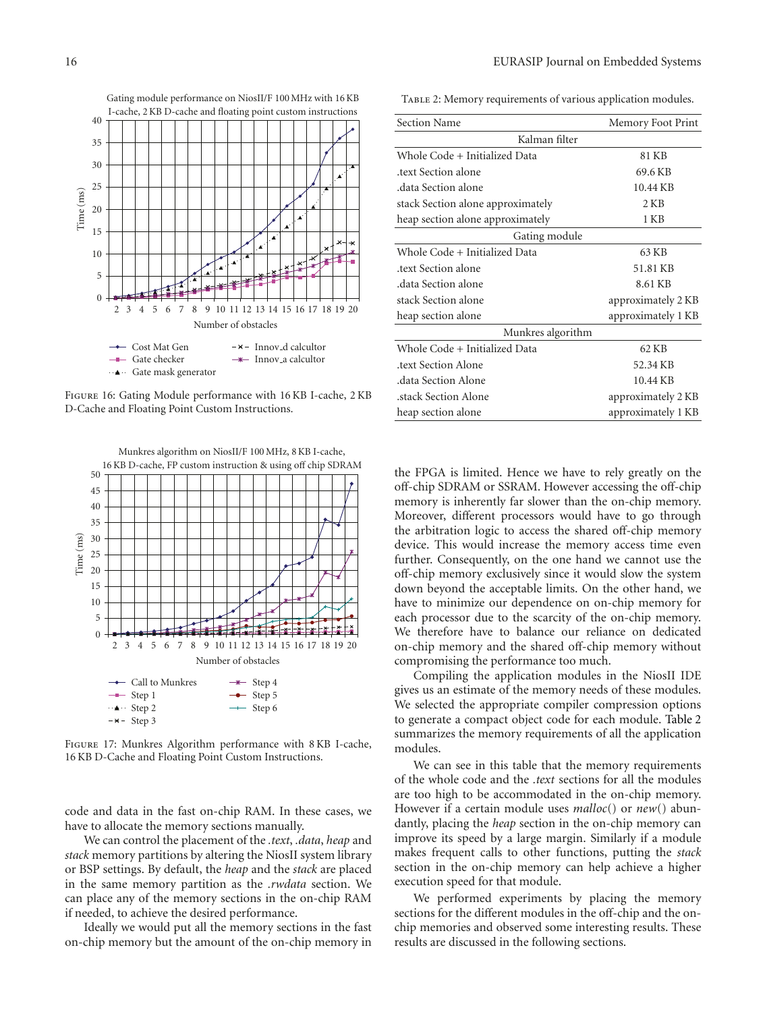I-cache, 2 KB D-cache and floating point custom instructions Time (ms)  $\theta$ 5 10 15 20 25 30 35 40 Number of obstacles 2 3 4 5 6 7 8 9 10 11 12 13 14 15 16 17 18 19 20 ← Cost Mat Gen Gate checker ·· ▲·· Gate mask generator  $\times$  - Innov<sub>-d</sub> calcultor  $\rightarrow$  Innov<sub>-a</sub> calcultor

Gating module performance on NiosII/F 100 MHz with 16 KB

Figure 16: Gating Module performance with 16 KB I-cache, 2 KB D-Cache and Floating Point Custom Instructions.

Munkres algorithm on NiosII/F 100 MHz, 8 KB I-cache,

![](_page_15_Figure_4.jpeg)

Figure 17: Munkres Algorithm performance with 8 KB I-cache, 16 KB D-Cache and Floating Point Custom Instructions.

code and data in the fast on-chip RAM. In these cases, we have to allocate the memory sections manually.

We can control the placement of the *.text*, *.data*, *heap* and *stack* memory partitions by altering the NiosII system library or BSP settings. By default, the *heap* and the *stack* are placed in the same memory partition as the *.rwdata* section. We can place any of the memory sections in the on-chip RAM if needed, to achieve the desired performance.

Ideally we would put all the memory sections in the fast on-chip memory but the amount of the on-chip memory in

TABLE 2: Memory requirements of various application modules.

| Section Name                      | Memory Foot Print  |  |  |  |  |  |
|-----------------------------------|--------------------|--|--|--|--|--|
| Kalman filter                     |                    |  |  |  |  |  |
| Whole Code + Initialized Data     | 81 KB              |  |  |  |  |  |
| text Section alone.               | 69.6 KB            |  |  |  |  |  |
| data Section alone.               | 10.44 KB           |  |  |  |  |  |
| stack Section alone approximately | 2 <sub>KB</sub>    |  |  |  |  |  |
| heap section alone approximately  | 1 KB               |  |  |  |  |  |
| Gating module                     |                    |  |  |  |  |  |
| Whole Code + Initialized Data     | 63 KB              |  |  |  |  |  |
| text Section alone.               | 51.81 KB           |  |  |  |  |  |
| data Section alone.               | 8.61 KB            |  |  |  |  |  |
| stack Section alone               | approximately 2 KB |  |  |  |  |  |
| heap section alone                | approximately 1 KB |  |  |  |  |  |
| Munkres algorithm                 |                    |  |  |  |  |  |
| Whole Code + Initialized Data     | 62 KB              |  |  |  |  |  |
| text Section Alone                | 52.34 KB           |  |  |  |  |  |
| data Section Alone.               | 10.44 KB           |  |  |  |  |  |
| stack Section Alone.              | approximately 2 KB |  |  |  |  |  |
| heap section alone                | approximately 1 KB |  |  |  |  |  |

the FPGA is limited. Hence we have to rely greatly on the off-chip SDRAM or SSRAM. However accessing the off-chip memory is inherently far slower than the on-chip memory. Moreover, different processors would have to go through the arbitration logic to access the shared off-chip memory device. This would increase the memory access time even further. Consequently, on the one hand we cannot use the off-chip memory exclusively since it would slow the system down beyond the acceptable limits. On the other hand, we have to minimize our dependence on on-chip memory for each processor due to the scarcity of the on-chip memory. We therefore have to balance our reliance on dedicated on-chip memory and the shared off-chip memory without compromising the performance too much.

Compiling the application modules in the NiosII IDE gives us an estimate of the memory needs of these modules. We selected the appropriate compiler compression options to generate a compact object code for each module. Table 2 summarizes the memory requirements of all the application modules.

We can see in this table that the memory requirements of the whole code and the *.text* sections for all the modules are too high to be accommodated in the on-chip memory. However if a certain module uses *malloc*() or *new*() abundantly, placing the *heap* section in the on-chip memory can improve its speed by a large margin. Similarly if a module makes frequent calls to other functions, putting the *stack* section in the on-chip memory can help achieve a higher execution speed for that module.

We performed experiments by placing the memory sections for the different modules in the off-chip and the onchip memories and observed some interesting results. These results are discussed in the following sections.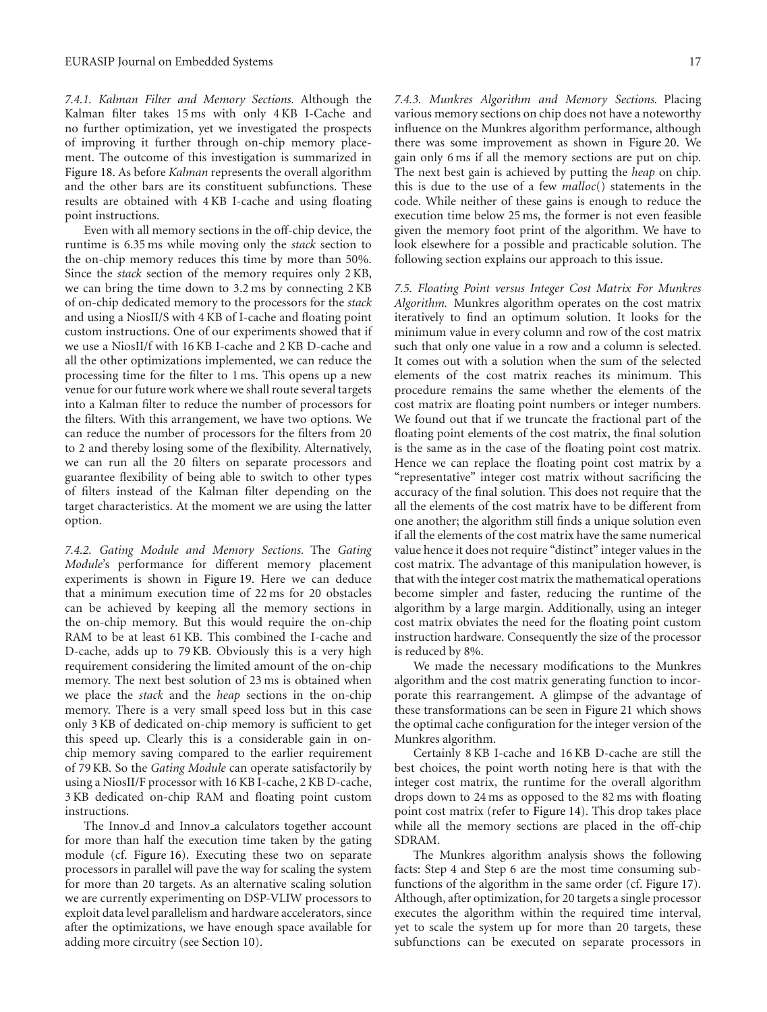*7.4.1. Kalman Filter and Memory Sections.* Although the Kalman filter takes 15 ms with only 4 KB I-Cache and no further optimization, yet we investigated the prospects of improving it further through on-chip memory placement. The outcome of this investigation is summarized in Figure 18. As before *Kalman* represents the overall algorithm and the other bars are its constituent subfunctions. These results are obtained with 4 KB I-cache and using floating point instructions.

Even with all memory sections in the off-chip device, the runtime is 6.35 ms while moving only the *stack* section to the on-chip memory reduces this time by more than 50%. Since the *stack* section of the memory requires only 2 KB, we can bring the time down to 3.2 ms by connecting 2 KB of on-chip dedicated memory to the processors for the *stack* and using a NiosII/S with 4 KB of I-cache and floating point custom instructions. One of our experiments showed that if we use a NiosII/f with 16 KB I-cache and 2 KB D-cache and all the other optimizations implemented, we can reduce the processing time for the filter to 1 ms. This opens up a new venue for our future work where we shall route several targets into a Kalman filter to reduce the number of processors for the filters. With this arrangement, we have two options. We can reduce the number of processors for the filters from 20 to 2 and thereby losing some of the flexibility. Alternatively, we can run all the 20 filters on separate processors and guarantee flexibility of being able to switch to other types of filters instead of the Kalman filter depending on the target characteristics. At the moment we are using the latter option.

*7.4.2. Gating Module and Memory Sections.* The *Gating Module*'s performance for different memory placement experiments is shown in Figure 19. Here we can deduce that a minimum execution time of 22 ms for 20 obstacles can be achieved by keeping all the memory sections in the on-chip memory. But this would require the on-chip RAM to be at least 61 KB. This combined the I-cache and D-cache, adds up to 79 KB. Obviously this is a very high requirement considering the limited amount of the on-chip memory. The next best solution of 23 ms is obtained when we place the *stack* and the *heap* sections in the on-chip memory. There is a very small speed loss but in this case only 3 KB of dedicated on-chip memory is sufficient to get this speed up. Clearly this is a considerable gain in onchip memory saving compared to the earlier requirement of 79 KB. So the *Gating Module* can operate satisfactorily by using a NiosII/F processor with 16 KB I-cache, 2 KB D-cache, 3 KB dedicated on-chip RAM and floating point custom instructions.

The Innov<sub>-d</sub> and Innov<sub>-a</sub> calculators together account for more than half the execution time taken by the gating module (cf. Figure 16). Executing these two on separate processors in parallel will pave the way for scaling the system for more than 20 targets. As an alternative scaling solution we are currently experimenting on DSP-VLIW processors to exploit data level parallelism and hardware accelerators, since after the optimizations, we have enough space available for adding more circuitry (see Section 10).

*7.4.3. Munkres Algorithm and Memory Sections.* Placing various memory sections on chip does not have a noteworthy influence on the Munkres algorithm performance, although there was some improvement as shown in Figure 20. We gain only 6 ms if all the memory sections are put on chip. The next best gain is achieved by putting the *heap* on chip. this is due to the use of a few *malloc*() statements in the code. While neither of these gains is enough to reduce the execution time below 25 ms, the former is not even feasible given the memory foot print of the algorithm. We have to look elsewhere for a possible and practicable solution. The following section explains our approach to this issue.

*7.5. Floating Point versus Integer Cost Matrix For Munkres Algorithm.* Munkres algorithm operates on the cost matrix iteratively to find an optimum solution. It looks for the minimum value in every column and row of the cost matrix such that only one value in a row and a column is selected. It comes out with a solution when the sum of the selected elements of the cost matrix reaches its minimum. This procedure remains the same whether the elements of the cost matrix are floating point numbers or integer numbers. We found out that if we truncate the fractional part of the floating point elements of the cost matrix, the final solution is the same as in the case of the floating point cost matrix. Hence we can replace the floating point cost matrix by a "representative" integer cost matrix without sacrificing the accuracy of the final solution. This does not require that the all the elements of the cost matrix have to be different from one another; the algorithm still finds a unique solution even if all the elements of the cost matrix have the same numerical value hence it does not require "distinct" integer values in the cost matrix. The advantage of this manipulation however, is that with the integer cost matrix the mathematical operations become simpler and faster, reducing the runtime of the algorithm by a large margin. Additionally, using an integer cost matrix obviates the need for the floating point custom instruction hardware. Consequently the size of the processor is reduced by 8%.

We made the necessary modifications to the Munkres algorithm and the cost matrix generating function to incorporate this rearrangement. A glimpse of the advantage of these transformations can be seen in Figure 21 which shows the optimal cache configuration for the integer version of the Munkres algorithm.

Certainly 8 KB I-cache and 16 KB D-cache are still the best choices, the point worth noting here is that with the integer cost matrix, the runtime for the overall algorithm drops down to 24 ms as opposed to the 82 ms with floating point cost matrix (refer to Figure 14). This drop takes place while all the memory sections are placed in the off-chip SDRAM.

The Munkres algorithm analysis shows the following facts: Step 4 and Step 6 are the most time consuming subfunctions of the algorithm in the same order (cf. Figure 17). Although, after optimization, for 20 targets a single processor executes the algorithm within the required time interval, yet to scale the system up for more than 20 targets, these subfunctions can be executed on separate processors in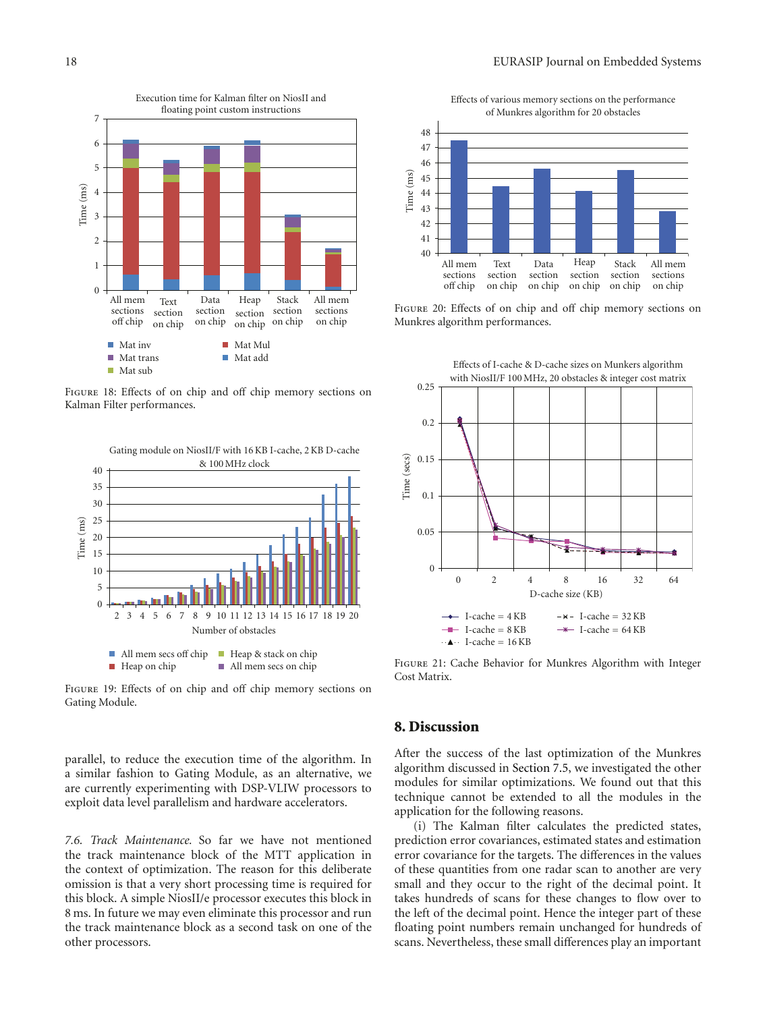![](_page_17_Figure_1.jpeg)

FIGURE 18: Effects of on chip and off chip memory sections on Kalman Filter performances.

![](_page_17_Figure_3.jpeg)

FIGURE 19: Effects of on chip and off chip memory sections on Gating Module.

parallel, to reduce the execution time of the algorithm. In a similar fashion to Gating Module, as an alternative, we are currently experimenting with DSP-VLIW processors to exploit data level parallelism and hardware accelerators.

*7.6. Track Maintenance.* So far we have not mentioned the track maintenance block of the MTT application in the context of optimization. The reason for this deliberate omission is that a very short processing time is required for this block. A simple NiosII/e processor executes this block in 8 ms. In future we may even eliminate this processor and run the track maintenance block as a second task on one of the other processors.

Effects of various memory sections on the performance of Munkres algorithm for 20 obstacles

![](_page_17_Figure_8.jpeg)

FIGURE 20: Effects of on chip and off chip memory sections on Munkres algorithm performances.

![](_page_17_Figure_10.jpeg)

Figure 21: Cache Behavior for Munkres Algorithm with Integer Cost Matrix.

## **8. Discussion**

After the success of the last optimization of the Munkres algorithm discussed in Section 7.5, we investigated the other modules for similar optimizations. We found out that this technique cannot be extended to all the modules in the application for the following reasons.

(i) The Kalman filter calculates the predicted states, prediction error covariances, estimated states and estimation error covariance for the targets. The differences in the values of these quantities from one radar scan to another are very small and they occur to the right of the decimal point. It takes hundreds of scans for these changes to flow over to the left of the decimal point. Hence the integer part of these floating point numbers remain unchanged for hundreds of scans. Nevertheless, these small differences play an important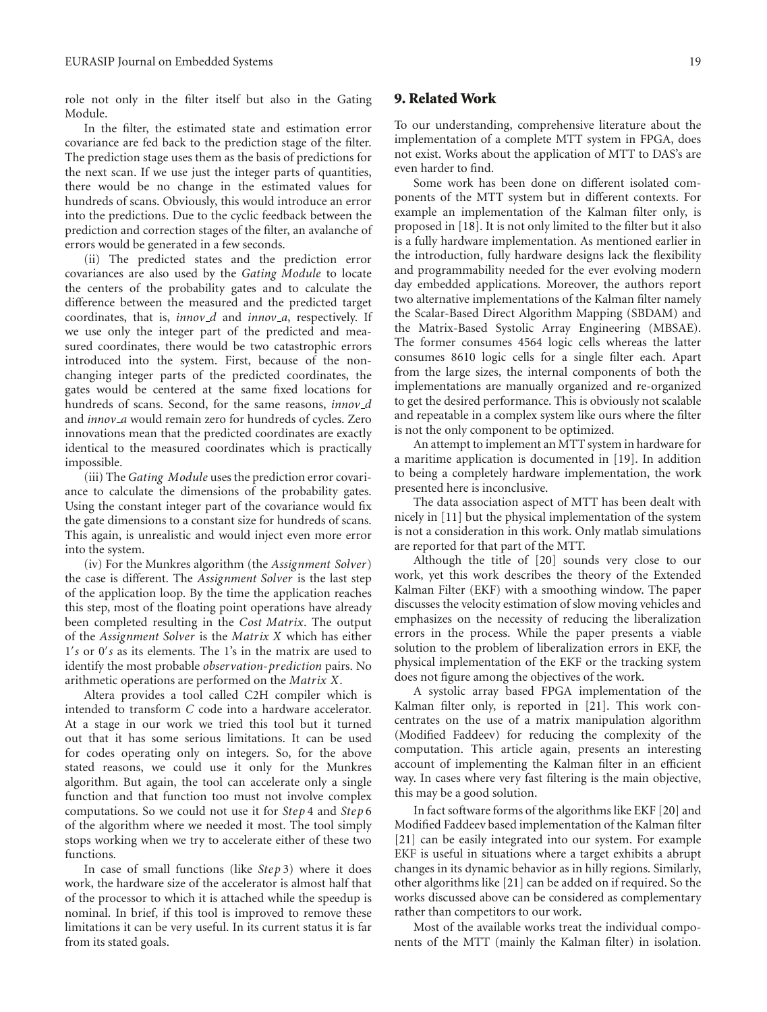role not only in the filter itself but also in the Gating Module.

In the filter, the estimated state and estimation error covariance are fed back to the prediction stage of the filter. The prediction stage uses them as the basis of predictions for the next scan. If we use just the integer parts of quantities, there would be no change in the estimated values for hundreds of scans. Obviously, this would introduce an error into the predictions. Due to the cyclic feedback between the prediction and correction stages of the filter, an avalanche of errors would be generated in a few seconds.

(ii) The predicted states and the prediction error covariances are also used by the *Gating Module* to locate the centers of the probability gates and to calculate the difference between the measured and the predicted target coordinates, that is, *innov d* and *innov a*, respectively. If we use only the integer part of the predicted and measured coordinates, there would be two catastrophic errors introduced into the system. First, because of the nonchanging integer parts of the predicted coordinates, the gates would be centered at the same fixed locations for hundreds of scans. Second, for the same reasons, *innov d* and *innov\_a* would remain zero for hundreds of cycles. Zero innovations mean that the predicted coordinates are exactly identical to the measured coordinates which is practically impossible.

(iii) The *Gating Module* uses the prediction error covariance to calculate the dimensions of the probability gates. Using the constant integer part of the covariance would fix the gate dimensions to a constant size for hundreds of scans. This again, is unrealistic and would inject even more error into the system.

(iv) For the Munkres algorithm (the *Assignment Solver*) the case is different. The *Assignment Solver* is the last step of the application loop. By the time the application reaches this step, most of the floating point operations have already been completed resulting in the *Cost Matrix*. The output of the *Assignment Solver* is the *Matrix X* which has either 1 *s* or 0 *s* as its elements. The 1's in the matrix are used to identify the most probable *observation*-*prediction* pairs. No arithmetic operations are performed on the *Matrix X*.

Altera provides a tool called C2H compiler which is intended to transform *C* code into a hardware accelerator. At a stage in our work we tried this tool but it turned out that it has some serious limitations. It can be used for codes operating only on integers. So, for the above stated reasons, we could use it only for the Munkres algorithm. But again, the tool can accelerate only a single function and that function too must not involve complex computations. So we could not use it for *Step* 4 and *Step* 6 of the algorithm where we needed it most. The tool simply stops working when we try to accelerate either of these two functions.

In case of small functions (like *Step* 3) where it does work, the hardware size of the accelerator is almost half that of the processor to which it is attached while the speedup is nominal. In brief, if this tool is improved to remove these limitations it can be very useful. In its current status it is far from its stated goals.

#### **9. Related Work**

To our understanding, comprehensive literature about the implementation of a complete MTT system in FPGA, does not exist. Works about the application of MTT to DAS's are even harder to find.

Some work has been done on different isolated components of the MTT system but in different contexts. For example an implementation of the Kalman filter only, is proposed in [18]. It is not only limited to the filter but it also is a fully hardware implementation. As mentioned earlier in the introduction, fully hardware designs lack the flexibility and programmability needed for the ever evolving modern day embedded applications. Moreover, the authors report two alternative implementations of the Kalman filter namely the Scalar-Based Direct Algorithm Mapping (SBDAM) and the Matrix-Based Systolic Array Engineering (MBSAE). The former consumes 4564 logic cells whereas the latter consumes 8610 logic cells for a single filter each. Apart from the large sizes, the internal components of both the implementations are manually organized and re-organized to get the desired performance. This is obviously not scalable and repeatable in a complex system like ours where the filter is not the only component to be optimized.

An attempt to implement an MTT system in hardware for a maritime application is documented in [19]. In addition to being a completely hardware implementation, the work presented here is inconclusive.

The data association aspect of MTT has been dealt with nicely in [11] but the physical implementation of the system is not a consideration in this work. Only matlab simulations are reported for that part of the MTT.

Although the title of [20] sounds very close to our work, yet this work describes the theory of the Extended Kalman Filter (EKF) with a smoothing window. The paper discusses the velocity estimation of slow moving vehicles and emphasizes on the necessity of reducing the liberalization errors in the process. While the paper presents a viable solution to the problem of liberalization errors in EKF, the physical implementation of the EKF or the tracking system does not figure among the objectives of the work.

A systolic array based FPGA implementation of the Kalman filter only, is reported in [21]. This work concentrates on the use of a matrix manipulation algorithm (Modified Faddeev) for reducing the complexity of the computation. This article again, presents an interesting account of implementing the Kalman filter in an efficient way. In cases where very fast filtering is the main objective, this may be a good solution.

In fact software forms of the algorithms like EKF [20] and Modified Faddeev based implementation of the Kalman filter [21] can be easily integrated into our system. For example EKF is useful in situations where a target exhibits a abrupt changes in its dynamic behavior as in hilly regions. Similarly, other algorithms like [21] can be added on if required. So the works discussed above can be considered as complementary rather than competitors to our work.

Most of the available works treat the individual components of the MTT (mainly the Kalman filter) in isolation.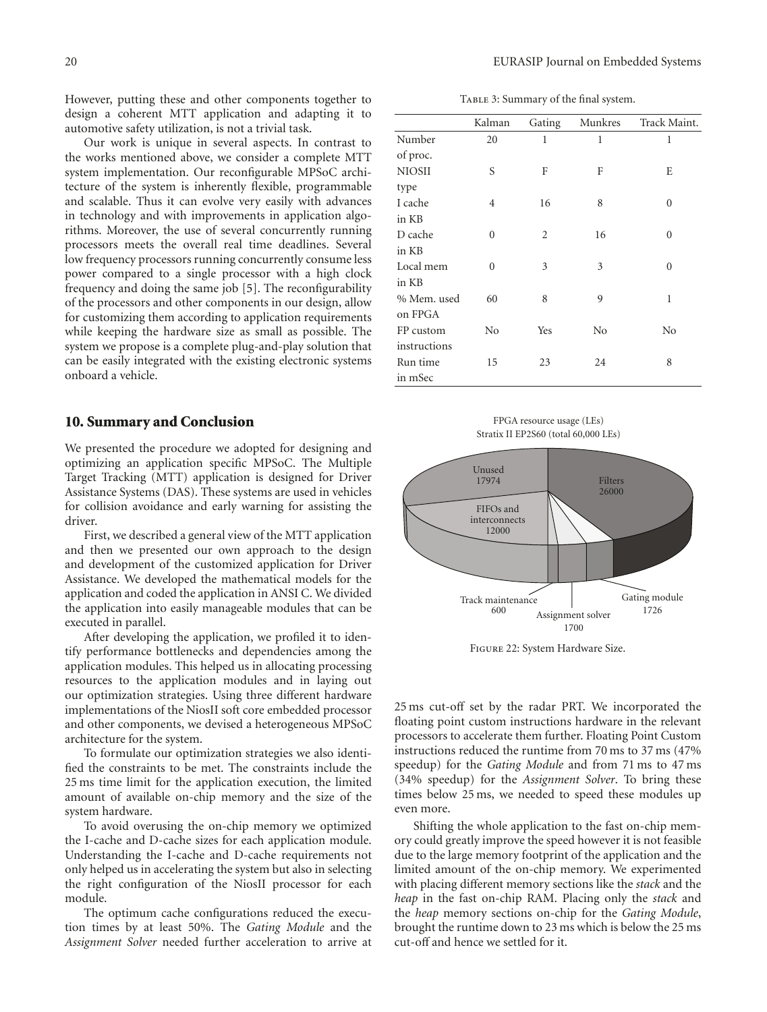However, putting these and other components together to design a coherent MTT application and adapting it to automotive safety utilization, is not a trivial task.

Our work is unique in several aspects. In contrast to the works mentioned above, we consider a complete MTT system implementation. Our reconfigurable MPSoC architecture of the system is inherently flexible, programmable and scalable. Thus it can evolve very easily with advances in technology and with improvements in application algorithms. Moreover, the use of several concurrently running processors meets the overall real time deadlines. Several low frequency processors running concurrently consume less power compared to a single processor with a high clock frequency and doing the same job [5]. The reconfigurability of the processors and other components in our design, allow for customizing them according to application requirements while keeping the hardware size as small as possible. The system we propose is a complete plug-and-play solution that can be easily integrated with the existing electronic systems onboard a vehicle.

#### **10. Summary and Conclusion**

We presented the procedure we adopted for designing and optimizing an application specific MPSoC. The Multiple Target Tracking (MTT) application is designed for Driver Assistance Systems (DAS). These systems are used in vehicles for collision avoidance and early warning for assisting the driver.

First, we described a general view of the MTT application and then we presented our own approach to the design and development of the customized application for Driver Assistance. We developed the mathematical models for the application and coded the application in ANSI C. We divided the application into easily manageable modules that can be executed in parallel.

After developing the application, we profiled it to identify performance bottlenecks and dependencies among the application modules. This helped us in allocating processing resources to the application modules and in laying out our optimization strategies. Using three different hardware implementations of the NiosII soft core embedded processor and other components, we devised a heterogeneous MPSoC architecture for the system.

To formulate our optimization strategies we also identified the constraints to be met. The constraints include the 25 ms time limit for the application execution, the limited amount of available on-chip memory and the size of the system hardware.

To avoid overusing the on-chip memory we optimized the I-cache and D-cache sizes for each application module. Understanding the I-cache and D-cache requirements not only helped us in accelerating the system but also in selecting the right configuration of the NiosII processor for each module.

The optimum cache configurations reduced the execution times by at least 50%. The *Gating Module* and the *Assignment Solver* needed further acceleration to arrive at

20 EURASIP Journal on Embedded Systems

TABLE 3: Summary of the final system.

|                    | Kalman   | Gating | Munkres | Track Maint. |
|--------------------|----------|--------|---------|--------------|
| Number<br>of proc. | 20       | 1      | 1       | $\mathbf{1}$ |
| <b>NIOSII</b>      | S        | F      | F       | E            |
| type               |          |        |         |              |
| I cache            | 4        | 16     | 8       | $\mathbf{0}$ |
| in KB              |          |        |         |              |
| D cache            | $\Omega$ | 2      | 16      | $\mathbf{0}$ |
| in KB              |          |        |         |              |
| Local mem          | $\theta$ | 3      | 3       | $\mathbf{0}$ |
| in KB              |          |        |         |              |
| % Mem. used        | 60       | 8      | 9       | 1            |
| on FPGA            |          |        |         |              |
| FP custom          | No       | Yes    | No      | No           |
| instructions       |          |        |         |              |
| Run time           | 15       | 23     | 24      | 8            |
| in mSec            |          |        |         |              |

FPGA resource usage (LEs) Stratix II EP2S60 (total 60,000 LEs)

![](_page_19_Figure_14.jpeg)

Figure 22: System Hardware Size.

25 ms cut-off set by the radar PRT. We incorporated the floating point custom instructions hardware in the relevant processors to accelerate them further. Floating Point Custom instructions reduced the runtime from 70 ms to 37 ms (47% speedup) for the *Gating Module* and from 71 ms to 47 ms (34% speedup) for the *Assignment Solver*. To bring these times below 25 ms, we needed to speed these modules up even more.

Shifting the whole application to the fast on-chip memory could greatly improve the speed however it is not feasible due to the large memory footprint of the application and the limited amount of the on-chip memory. We experimented with placing different memory sections like the *stack* and the *heap* in the fast on-chip RAM. Placing only the *stack* and the *heap* memory sections on-chip for the *Gating Module*, brought the runtime down to 23 ms which is below the 25 ms cut-off and hence we settled for it.